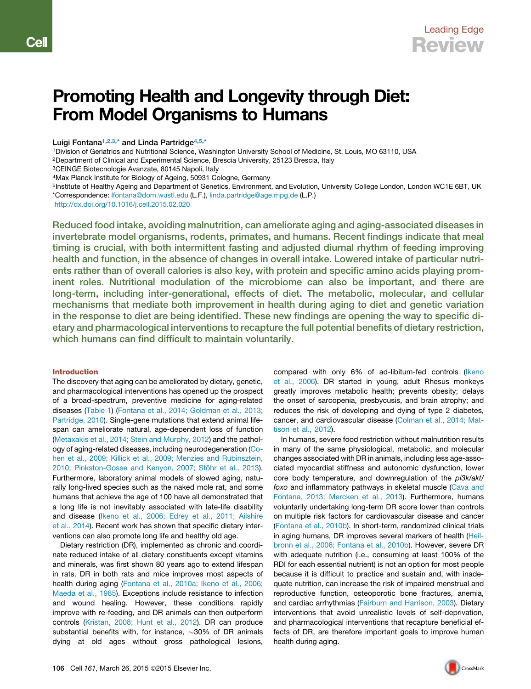# Promoting Health and Longevity through Diet: From Model Organisms to Humans

Luigi Fontana<sup>[1,](#page-0-0)[2](#page-0-1)[,3,](#page-0-2)[\\*](#page-0-3)</sup> and Linda Partridge<sup>4,[5,](#page-0-5)\*</sup>

<span id="page-0-0"></span>1Division of Geriatrics and Nutritional Science, Washington University School of Medicine, St. Louis, MO 63110, USA

<span id="page-0-1"></span>2Department of Clinical and Experimental Science, Brescia University, 25123 Brescia, Italy

<span id="page-0-2"></span>3CEINGE Biotecnologie Avanzate, 80145 Napoli, Italy

<span id="page-0-4"></span>4Max Planck Institute for Biology of Ageing, 50931 Cologne, Germany

<span id="page-0-5"></span><span id="page-0-3"></span><sup>5</sup>Institute of Healthy Ageing and Department of Genetics, Environment, and Evolution, University College London, London WC1E 6BT, UK \*Correspondence: [lfontana@dom.wustl.edu](mailto:lfontana@dom.wustl.edu) (L.F.), [linda.partridge@age.mpg.de](mailto:linda.partridge@age.mpg.de) (L.P.)

<http://dx.doi.org/10.1016/j.cell.2015.02.020>

Reduced food intake, avoiding malnutrition, can ameliorate aging and aging-associated diseases in invertebrate model organisms, rodents, primates, and humans. Recent findings indicate that meal timing is crucial, with both intermittent fasting and adjusted diurnal rhythm of feeding improving health and function, in the absence of changes in overall intake. Lowered intake of particular nutrients rather than of overall calories is also key, with protein and specific amino acids playing prominent roles. Nutritional modulation of the microbiome can also be important, and there are long-term, including inter-generational, effects of diet. The metabolic, molecular, and cellular mechanisms that mediate both improvement in health during aging to diet and genetic variation in the response to diet are being identified. These new findings are opening the way to specific dietary and pharmacological interventions to recapture the full potential benefits of dietary restriction, which humans can find difficult to maintain voluntarily.

## Introduction

The discovery that aging can be ameliorated by dietary, genetic, and pharmacological interventions has opened up the prospect of a broad-spectrum, preventive medicine for aging-related diseases [\(Table 1\)](#page-1-0) [\(Fontana et al., 2014; Goldman et al., 2013;](#page-9-0) [Partridge, 2010\)](#page-9-0). Single-gene mutations that extend animal lifespan can ameliorate natural, age-dependent loss of function ([Metaxakis et al., 2014; Stein and Murphy, 2012\)](#page-10-0) and the pathology of aging-related diseases, including neurodegeneration ([Co](#page-9-1)[hen et al., 2009; Killick et al., 2009; Menzies and Rubinsztein,](#page-9-1) 2010; Pinkston-Gosse and Kenyon, 2007; Stöhr et al., 2013). Furthermore, laboratory animal models of slowed aging, naturally long-lived species such as the naked mole rat, and some humans that achieve the age of 100 have all demonstrated that a long life is not inevitably associated with late-life disability and disease [\(Ikeno et al., 2006; Edrey et al., 2011; Ailshire](#page-10-1) [et al., 2014\)](#page-10-1). Recent work has shown that specific dietary interventions can also promote long life and healthy old age.

Dietary restriction (DR), implemented as chronic and coordinate reduced intake of all dietary constituents except vitamins and minerals, was first shown 80 years ago to extend lifespan in rats. DR in both rats and mice improves most aspects of health during aging ([Fontana et al., 2010a; Ikeno et al., 2006;](#page-9-2) [Maeda et al., 1985\)](#page-9-2). Exceptions include resistance to infection and wound healing. However, these conditions rapidly improve with re-feeding, and DR animals can then outperform controls ([Kristan, 2008; Hunt et al., 2012\)](#page-10-2). DR can produce substantial benefits with, for instance,  $\sim$ 30% of DR animals dying at old ages without gross pathological lesions,

compared with only 6% of ad-libitum-fed controls [\(Ikeno](#page-10-1) [et al., 2006](#page-10-1)). DR started in young, adult Rhesus monkeys greatly improves metabolic health; prevents obesity; delays the onset of sarcopenia, presbycusis, and brain atrophy; and reduces the risk of developing and dying of type 2 diabetes, cancer, and cardiovascular disease ([Colman et al., 2014; Mat](#page-9-3)[tison et al., 2012](#page-9-3)).

In humans, severe food restriction without malnutrition results in many of the same physiological, metabolic, and molecular changes associated with DR in animals, including less age-associated myocardial stiffness and autonomic dysfunction, lower core body temperature, and downregulation of the *pi3k/akt/ foxo* and inflammatory pathways in skeletal muscle [\(Cava and](#page-8-0) [Fontana, 2013; Mercken et al., 2013](#page-8-0)). Furthermore, humans voluntarily undertaking long-term DR score lower than controls on multiple risk factors for cardiovascular disease and cancer [\(Fontana et al., 2010b](#page-9-4)). In short-term, randomized clinical trials in aging humans, DR improves several markers of health [\(Heil](#page-9-5)[bronn et al., 2006; Fontana et al., 2010b](#page-9-5)). However, severe DR with adequate nutrition (i.e., consuming at least 100% of the RDI for each essential nutrient) is not an option for most people because it is difficult to practice and sustain and, with inadequate nutrition, can increase the risk of impaired menstrual and reproductive function, osteoporotic bone fractures, anemia, and cardiac arrhythmias [\(Fairburn and Harrison, 2003\)](#page-9-6). Dietary interventions that avoid unrealistic levels of self-deprivation, and pharmacological interventions that recapture beneficial effects of DR, are therefore important goals to improve human health during aging.

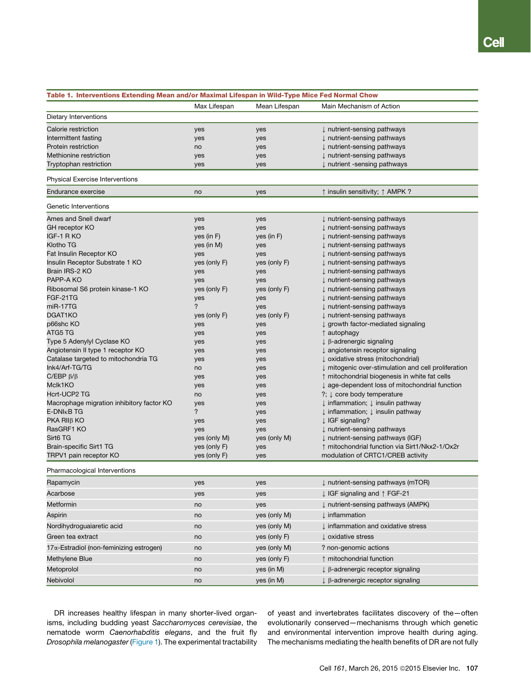<span id="page-1-0"></span>

| Mean Lifespan<br>Main Mechanism of Action<br>Max Lifespan<br>Dietary Interventions<br>Calorie restriction<br>↓ nutrient-sensing pathways<br>yes<br>yes<br>Intermittent fasting<br>↓ nutrient-sensing pathways<br>yes<br>yes<br>Protein restriction<br>↓ nutrient-sensing pathways<br>no<br>yes<br>Methionine restriction<br>↓ nutrient-sensing pathways<br>yes<br>yes<br>Tryptophan restriction<br>↓ nutrient -sensing pathways<br>yes<br>yes<br><b>Physical Exercise Interventions</b><br>Endurance exercise<br>↑ insulin sensitivity; ↑ AMPK ?<br>no<br>yes<br>Genetic Interventions<br>Ames and Snell dwarf<br>↓ nutrient-sensing pathways<br>yes<br>yes<br>GH receptor KO<br>↓ nutrient-sensing pathways<br>yes<br>yes<br>IGF-1 R KO<br>↓ nutrient-sensing pathways<br>yes (in $F$ )<br>yes (in F)<br>Klotho TG<br>↓ nutrient-sensing pathways<br>yes (in M)<br>yes<br>Fat Insulin Receptor KO<br>↓ nutrient-sensing pathways<br>yes<br>yes<br>Insulin Receptor Substrate 1 KO<br>yes (only F)<br>↓ nutrient-sensing pathways<br>yes (only F)<br>Brain IRS-2 KO<br>↓ nutrient-sensing pathways<br>yes<br>yes<br>PAPP-A KO<br>↓ nutrient-sensing pathways<br>yes<br>yes<br>Ribosomal S6 protein kinase-1 KO<br>↓ nutrient-sensing pathways<br>yes (only F)<br>yes (only F)<br>FGF-21TG<br>↓ nutrient-sensing pathways<br>yes<br>yes<br>?<br>miR-17TG<br>↓ nutrient-sensing pathways<br>yes<br>DGAT1KO<br>yes (only F)<br>↓ nutrient-sensing pathways<br>yes (only F)<br>p66shc KO<br>↓ growth factor-mediated signaling<br>yes<br>yes<br>ATG5 TG<br>↑ autophagy<br>yes<br>yes<br>Type 5 Adenylyl Cyclase KO<br>$\downarrow$ $\beta$ -adrenergic signaling<br>yes<br>yes<br>Angiotensin II type 1 receptor KO<br>↓ angiotensin receptor signaling<br>yes<br>yes<br>Catalase targeted to mitochondria TG<br>↓ oxidative stress (mitochondrial)<br>yes<br>yes<br>Ink4/Arf-TG/TG<br>$\downarrow$ mitogenic over-stimulation and cell proliferation<br>no<br>yes<br>$C/EBP \beta/\beta$<br>↑ mitochondrial biogenesis in white fat cells<br>yes<br>yes<br>Mclk1KO<br>↓ age-dependent loss of mitochondrial function<br>yes<br>yes<br>Hcrt-UCP2 TG<br>?; $\downarrow$ core body temperature<br>no<br>yes<br>Macrophage migration inhibitory factor KO<br>↓ inflammation; ↓ insulin pathway<br>yes<br>yes<br>$\overline{\phantom{a}}$<br>$E-DNIKBTG$<br>↓ inflammation; ↓ insulin pathway<br>yes<br>PKA RII <sub>B</sub> KO<br>↓ IGF signaling?<br>yes<br>yes<br>RasGRF1 KO<br>↓ nutrient-sensing pathways<br>yes<br>yes<br>Sirt <sub>6</sub> TG<br>↓ nutrient-sensing pathways (IGF)<br>yes (only M)<br>yes (only M)<br>↑ mitochondrial function via Sirt1/Nkx2-1/Ox2r<br>Brain-specific Sirt1 TG<br>yes (only F)<br>yes<br>TRPV1 pain receptor KO<br>modulation of CRTC1/CREB activity<br>yes (only F)<br>yes<br>Pharmacological Interventions<br>Rapamycin<br>↓ nutrient-sensing pathways (mTOR)<br>yes<br>yes<br>↓ IGF signaling and ↑ FGF-21<br>Acarbose<br>yes<br>yes<br>Metformin<br>↓ nutrient-sensing pathways (AMPK)<br>yes<br>no<br>Aspirin<br>I inflammation<br>yes (only M)<br>no<br>Nordihydroquaiaretic acid<br>I inflammation and oxidative stress<br>yes (only M)<br>no<br>Green tea extract<br>yes (only F)<br>↓ oxidative stress<br>no<br>17a-Estradiol (non-feminizing estrogen)<br>? non-genomic actions<br>yes (only M)<br>no<br>Methylene Blue<br>yes (only F)<br>↑ mitochondrial function<br>no<br>Metoprolol<br>yes (in M)<br>$\downarrow$ $\beta$ -adrenergic receptor signaling<br>no | Table 1. Interventions Extending Mean and/or Maximal Lifespan in Wild-Type Mice Fed Normal Chow |    |            |                                   |  |  |
|--------------------------------------------------------------------------------------------------------------------------------------------------------------------------------------------------------------------------------------------------------------------------------------------------------------------------------------------------------------------------------------------------------------------------------------------------------------------------------------------------------------------------------------------------------------------------------------------------------------------------------------------------------------------------------------------------------------------------------------------------------------------------------------------------------------------------------------------------------------------------------------------------------------------------------------------------------------------------------------------------------------------------------------------------------------------------------------------------------------------------------------------------------------------------------------------------------------------------------------------------------------------------------------------------------------------------------------------------------------------------------------------------------------------------------------------------------------------------------------------------------------------------------------------------------------------------------------------------------------------------------------------------------------------------------------------------------------------------------------------------------------------------------------------------------------------------------------------------------------------------------------------------------------------------------------------------------------------------------------------------------------------------------------------------------------------------------------------------------------------------------------------------------------------------------------------------------------------------------------------------------------------------------------------------------------------------------------------------------------------------------------------------------------------------------------------------------------------------------------------------------------------------------------------------------------------------------------------------------------------------------------------------------------------------------------------------------------------------------------------------------------------------------------------------------------------------------------------------------------------------------------------------------------------------------------------------------------------------------------------------------------------------------------------------------------------------------------------------------------------------------------------------------------------------------------------------------------------------------------------------------------------------------------------------------------------------------------------------------------------------------------------------------------------------------------------------------------------------------------------------------------|-------------------------------------------------------------------------------------------------|----|------------|-----------------------------------|--|--|
|                                                                                                                                                                                                                                                                                                                                                                                                                                                                                                                                                                                                                                                                                                                                                                                                                                                                                                                                                                                                                                                                                                                                                                                                                                                                                                                                                                                                                                                                                                                                                                                                                                                                                                                                                                                                                                                                                                                                                                                                                                                                                                                                                                                                                                                                                                                                                                                                                                                                                                                                                                                                                                                                                                                                                                                                                                                                                                                                                                                                                                                                                                                                                                                                                                                                                                                                                                                                                                                                                                              |                                                                                                 |    |            |                                   |  |  |
|                                                                                                                                                                                                                                                                                                                                                                                                                                                                                                                                                                                                                                                                                                                                                                                                                                                                                                                                                                                                                                                                                                                                                                                                                                                                                                                                                                                                                                                                                                                                                                                                                                                                                                                                                                                                                                                                                                                                                                                                                                                                                                                                                                                                                                                                                                                                                                                                                                                                                                                                                                                                                                                                                                                                                                                                                                                                                                                                                                                                                                                                                                                                                                                                                                                                                                                                                                                                                                                                                                              |                                                                                                 |    |            |                                   |  |  |
|                                                                                                                                                                                                                                                                                                                                                                                                                                                                                                                                                                                                                                                                                                                                                                                                                                                                                                                                                                                                                                                                                                                                                                                                                                                                                                                                                                                                                                                                                                                                                                                                                                                                                                                                                                                                                                                                                                                                                                                                                                                                                                                                                                                                                                                                                                                                                                                                                                                                                                                                                                                                                                                                                                                                                                                                                                                                                                                                                                                                                                                                                                                                                                                                                                                                                                                                                                                                                                                                                                              |                                                                                                 |    |            |                                   |  |  |
|                                                                                                                                                                                                                                                                                                                                                                                                                                                                                                                                                                                                                                                                                                                                                                                                                                                                                                                                                                                                                                                                                                                                                                                                                                                                                                                                                                                                                                                                                                                                                                                                                                                                                                                                                                                                                                                                                                                                                                                                                                                                                                                                                                                                                                                                                                                                                                                                                                                                                                                                                                                                                                                                                                                                                                                                                                                                                                                                                                                                                                                                                                                                                                                                                                                                                                                                                                                                                                                                                                              |                                                                                                 |    |            |                                   |  |  |
|                                                                                                                                                                                                                                                                                                                                                                                                                                                                                                                                                                                                                                                                                                                                                                                                                                                                                                                                                                                                                                                                                                                                                                                                                                                                                                                                                                                                                                                                                                                                                                                                                                                                                                                                                                                                                                                                                                                                                                                                                                                                                                                                                                                                                                                                                                                                                                                                                                                                                                                                                                                                                                                                                                                                                                                                                                                                                                                                                                                                                                                                                                                                                                                                                                                                                                                                                                                                                                                                                                              |                                                                                                 |    |            |                                   |  |  |
|                                                                                                                                                                                                                                                                                                                                                                                                                                                                                                                                                                                                                                                                                                                                                                                                                                                                                                                                                                                                                                                                                                                                                                                                                                                                                                                                                                                                                                                                                                                                                                                                                                                                                                                                                                                                                                                                                                                                                                                                                                                                                                                                                                                                                                                                                                                                                                                                                                                                                                                                                                                                                                                                                                                                                                                                                                                                                                                                                                                                                                                                                                                                                                                                                                                                                                                                                                                                                                                                                                              |                                                                                                 |    |            |                                   |  |  |
|                                                                                                                                                                                                                                                                                                                                                                                                                                                                                                                                                                                                                                                                                                                                                                                                                                                                                                                                                                                                                                                                                                                                                                                                                                                                                                                                                                                                                                                                                                                                                                                                                                                                                                                                                                                                                                                                                                                                                                                                                                                                                                                                                                                                                                                                                                                                                                                                                                                                                                                                                                                                                                                                                                                                                                                                                                                                                                                                                                                                                                                                                                                                                                                                                                                                                                                                                                                                                                                                                                              |                                                                                                 |    |            |                                   |  |  |
|                                                                                                                                                                                                                                                                                                                                                                                                                                                                                                                                                                                                                                                                                                                                                                                                                                                                                                                                                                                                                                                                                                                                                                                                                                                                                                                                                                                                                                                                                                                                                                                                                                                                                                                                                                                                                                                                                                                                                                                                                                                                                                                                                                                                                                                                                                                                                                                                                                                                                                                                                                                                                                                                                                                                                                                                                                                                                                                                                                                                                                                                                                                                                                                                                                                                                                                                                                                                                                                                                                              |                                                                                                 |    |            |                                   |  |  |
|                                                                                                                                                                                                                                                                                                                                                                                                                                                                                                                                                                                                                                                                                                                                                                                                                                                                                                                                                                                                                                                                                                                                                                                                                                                                                                                                                                                                                                                                                                                                                                                                                                                                                                                                                                                                                                                                                                                                                                                                                                                                                                                                                                                                                                                                                                                                                                                                                                                                                                                                                                                                                                                                                                                                                                                                                                                                                                                                                                                                                                                                                                                                                                                                                                                                                                                                                                                                                                                                                                              |                                                                                                 |    |            |                                   |  |  |
|                                                                                                                                                                                                                                                                                                                                                                                                                                                                                                                                                                                                                                                                                                                                                                                                                                                                                                                                                                                                                                                                                                                                                                                                                                                                                                                                                                                                                                                                                                                                                                                                                                                                                                                                                                                                                                                                                                                                                                                                                                                                                                                                                                                                                                                                                                                                                                                                                                                                                                                                                                                                                                                                                                                                                                                                                                                                                                                                                                                                                                                                                                                                                                                                                                                                                                                                                                                                                                                                                                              |                                                                                                 |    |            |                                   |  |  |
|                                                                                                                                                                                                                                                                                                                                                                                                                                                                                                                                                                                                                                                                                                                                                                                                                                                                                                                                                                                                                                                                                                                                                                                                                                                                                                                                                                                                                                                                                                                                                                                                                                                                                                                                                                                                                                                                                                                                                                                                                                                                                                                                                                                                                                                                                                                                                                                                                                                                                                                                                                                                                                                                                                                                                                                                                                                                                                                                                                                                                                                                                                                                                                                                                                                                                                                                                                                                                                                                                                              |                                                                                                 |    |            |                                   |  |  |
|                                                                                                                                                                                                                                                                                                                                                                                                                                                                                                                                                                                                                                                                                                                                                                                                                                                                                                                                                                                                                                                                                                                                                                                                                                                                                                                                                                                                                                                                                                                                                                                                                                                                                                                                                                                                                                                                                                                                                                                                                                                                                                                                                                                                                                                                                                                                                                                                                                                                                                                                                                                                                                                                                                                                                                                                                                                                                                                                                                                                                                                                                                                                                                                                                                                                                                                                                                                                                                                                                                              |                                                                                                 |    |            |                                   |  |  |
|                                                                                                                                                                                                                                                                                                                                                                                                                                                                                                                                                                                                                                                                                                                                                                                                                                                                                                                                                                                                                                                                                                                                                                                                                                                                                                                                                                                                                                                                                                                                                                                                                                                                                                                                                                                                                                                                                                                                                                                                                                                                                                                                                                                                                                                                                                                                                                                                                                                                                                                                                                                                                                                                                                                                                                                                                                                                                                                                                                                                                                                                                                                                                                                                                                                                                                                                                                                                                                                                                                              |                                                                                                 |    |            |                                   |  |  |
|                                                                                                                                                                                                                                                                                                                                                                                                                                                                                                                                                                                                                                                                                                                                                                                                                                                                                                                                                                                                                                                                                                                                                                                                                                                                                                                                                                                                                                                                                                                                                                                                                                                                                                                                                                                                                                                                                                                                                                                                                                                                                                                                                                                                                                                                                                                                                                                                                                                                                                                                                                                                                                                                                                                                                                                                                                                                                                                                                                                                                                                                                                                                                                                                                                                                                                                                                                                                                                                                                                              |                                                                                                 |    |            |                                   |  |  |
|                                                                                                                                                                                                                                                                                                                                                                                                                                                                                                                                                                                                                                                                                                                                                                                                                                                                                                                                                                                                                                                                                                                                                                                                                                                                                                                                                                                                                                                                                                                                                                                                                                                                                                                                                                                                                                                                                                                                                                                                                                                                                                                                                                                                                                                                                                                                                                                                                                                                                                                                                                                                                                                                                                                                                                                                                                                                                                                                                                                                                                                                                                                                                                                                                                                                                                                                                                                                                                                                                                              |                                                                                                 |    |            |                                   |  |  |
|                                                                                                                                                                                                                                                                                                                                                                                                                                                                                                                                                                                                                                                                                                                                                                                                                                                                                                                                                                                                                                                                                                                                                                                                                                                                                                                                                                                                                                                                                                                                                                                                                                                                                                                                                                                                                                                                                                                                                                                                                                                                                                                                                                                                                                                                                                                                                                                                                                                                                                                                                                                                                                                                                                                                                                                                                                                                                                                                                                                                                                                                                                                                                                                                                                                                                                                                                                                                                                                                                                              |                                                                                                 |    |            |                                   |  |  |
|                                                                                                                                                                                                                                                                                                                                                                                                                                                                                                                                                                                                                                                                                                                                                                                                                                                                                                                                                                                                                                                                                                                                                                                                                                                                                                                                                                                                                                                                                                                                                                                                                                                                                                                                                                                                                                                                                                                                                                                                                                                                                                                                                                                                                                                                                                                                                                                                                                                                                                                                                                                                                                                                                                                                                                                                                                                                                                                                                                                                                                                                                                                                                                                                                                                                                                                                                                                                                                                                                                              |                                                                                                 |    |            |                                   |  |  |
|                                                                                                                                                                                                                                                                                                                                                                                                                                                                                                                                                                                                                                                                                                                                                                                                                                                                                                                                                                                                                                                                                                                                                                                                                                                                                                                                                                                                                                                                                                                                                                                                                                                                                                                                                                                                                                                                                                                                                                                                                                                                                                                                                                                                                                                                                                                                                                                                                                                                                                                                                                                                                                                                                                                                                                                                                                                                                                                                                                                                                                                                                                                                                                                                                                                                                                                                                                                                                                                                                                              |                                                                                                 |    |            |                                   |  |  |
|                                                                                                                                                                                                                                                                                                                                                                                                                                                                                                                                                                                                                                                                                                                                                                                                                                                                                                                                                                                                                                                                                                                                                                                                                                                                                                                                                                                                                                                                                                                                                                                                                                                                                                                                                                                                                                                                                                                                                                                                                                                                                                                                                                                                                                                                                                                                                                                                                                                                                                                                                                                                                                                                                                                                                                                                                                                                                                                                                                                                                                                                                                                                                                                                                                                                                                                                                                                                                                                                                                              |                                                                                                 |    |            |                                   |  |  |
|                                                                                                                                                                                                                                                                                                                                                                                                                                                                                                                                                                                                                                                                                                                                                                                                                                                                                                                                                                                                                                                                                                                                                                                                                                                                                                                                                                                                                                                                                                                                                                                                                                                                                                                                                                                                                                                                                                                                                                                                                                                                                                                                                                                                                                                                                                                                                                                                                                                                                                                                                                                                                                                                                                                                                                                                                                                                                                                                                                                                                                                                                                                                                                                                                                                                                                                                                                                                                                                                                                              |                                                                                                 |    |            |                                   |  |  |
|                                                                                                                                                                                                                                                                                                                                                                                                                                                                                                                                                                                                                                                                                                                                                                                                                                                                                                                                                                                                                                                                                                                                                                                                                                                                                                                                                                                                                                                                                                                                                                                                                                                                                                                                                                                                                                                                                                                                                                                                                                                                                                                                                                                                                                                                                                                                                                                                                                                                                                                                                                                                                                                                                                                                                                                                                                                                                                                                                                                                                                                                                                                                                                                                                                                                                                                                                                                                                                                                                                              |                                                                                                 |    |            |                                   |  |  |
|                                                                                                                                                                                                                                                                                                                                                                                                                                                                                                                                                                                                                                                                                                                                                                                                                                                                                                                                                                                                                                                                                                                                                                                                                                                                                                                                                                                                                                                                                                                                                                                                                                                                                                                                                                                                                                                                                                                                                                                                                                                                                                                                                                                                                                                                                                                                                                                                                                                                                                                                                                                                                                                                                                                                                                                                                                                                                                                                                                                                                                                                                                                                                                                                                                                                                                                                                                                                                                                                                                              |                                                                                                 |    |            |                                   |  |  |
|                                                                                                                                                                                                                                                                                                                                                                                                                                                                                                                                                                                                                                                                                                                                                                                                                                                                                                                                                                                                                                                                                                                                                                                                                                                                                                                                                                                                                                                                                                                                                                                                                                                                                                                                                                                                                                                                                                                                                                                                                                                                                                                                                                                                                                                                                                                                                                                                                                                                                                                                                                                                                                                                                                                                                                                                                                                                                                                                                                                                                                                                                                                                                                                                                                                                                                                                                                                                                                                                                                              |                                                                                                 |    |            |                                   |  |  |
|                                                                                                                                                                                                                                                                                                                                                                                                                                                                                                                                                                                                                                                                                                                                                                                                                                                                                                                                                                                                                                                                                                                                                                                                                                                                                                                                                                                                                                                                                                                                                                                                                                                                                                                                                                                                                                                                                                                                                                                                                                                                                                                                                                                                                                                                                                                                                                                                                                                                                                                                                                                                                                                                                                                                                                                                                                                                                                                                                                                                                                                                                                                                                                                                                                                                                                                                                                                                                                                                                                              |                                                                                                 |    |            |                                   |  |  |
|                                                                                                                                                                                                                                                                                                                                                                                                                                                                                                                                                                                                                                                                                                                                                                                                                                                                                                                                                                                                                                                                                                                                                                                                                                                                                                                                                                                                                                                                                                                                                                                                                                                                                                                                                                                                                                                                                                                                                                                                                                                                                                                                                                                                                                                                                                                                                                                                                                                                                                                                                                                                                                                                                                                                                                                                                                                                                                                                                                                                                                                                                                                                                                                                                                                                                                                                                                                                                                                                                                              |                                                                                                 |    |            |                                   |  |  |
|                                                                                                                                                                                                                                                                                                                                                                                                                                                                                                                                                                                                                                                                                                                                                                                                                                                                                                                                                                                                                                                                                                                                                                                                                                                                                                                                                                                                                                                                                                                                                                                                                                                                                                                                                                                                                                                                                                                                                                                                                                                                                                                                                                                                                                                                                                                                                                                                                                                                                                                                                                                                                                                                                                                                                                                                                                                                                                                                                                                                                                                                                                                                                                                                                                                                                                                                                                                                                                                                                                              |                                                                                                 |    |            |                                   |  |  |
|                                                                                                                                                                                                                                                                                                                                                                                                                                                                                                                                                                                                                                                                                                                                                                                                                                                                                                                                                                                                                                                                                                                                                                                                                                                                                                                                                                                                                                                                                                                                                                                                                                                                                                                                                                                                                                                                                                                                                                                                                                                                                                                                                                                                                                                                                                                                                                                                                                                                                                                                                                                                                                                                                                                                                                                                                                                                                                                                                                                                                                                                                                                                                                                                                                                                                                                                                                                                                                                                                                              |                                                                                                 |    |            |                                   |  |  |
|                                                                                                                                                                                                                                                                                                                                                                                                                                                                                                                                                                                                                                                                                                                                                                                                                                                                                                                                                                                                                                                                                                                                                                                                                                                                                                                                                                                                                                                                                                                                                                                                                                                                                                                                                                                                                                                                                                                                                                                                                                                                                                                                                                                                                                                                                                                                                                                                                                                                                                                                                                                                                                                                                                                                                                                                                                                                                                                                                                                                                                                                                                                                                                                                                                                                                                                                                                                                                                                                                                              |                                                                                                 |    |            |                                   |  |  |
|                                                                                                                                                                                                                                                                                                                                                                                                                                                                                                                                                                                                                                                                                                                                                                                                                                                                                                                                                                                                                                                                                                                                                                                                                                                                                                                                                                                                                                                                                                                                                                                                                                                                                                                                                                                                                                                                                                                                                                                                                                                                                                                                                                                                                                                                                                                                                                                                                                                                                                                                                                                                                                                                                                                                                                                                                                                                                                                                                                                                                                                                                                                                                                                                                                                                                                                                                                                                                                                                                                              |                                                                                                 |    |            |                                   |  |  |
|                                                                                                                                                                                                                                                                                                                                                                                                                                                                                                                                                                                                                                                                                                                                                                                                                                                                                                                                                                                                                                                                                                                                                                                                                                                                                                                                                                                                                                                                                                                                                                                                                                                                                                                                                                                                                                                                                                                                                                                                                                                                                                                                                                                                                                                                                                                                                                                                                                                                                                                                                                                                                                                                                                                                                                                                                                                                                                                                                                                                                                                                                                                                                                                                                                                                                                                                                                                                                                                                                                              |                                                                                                 |    |            |                                   |  |  |
|                                                                                                                                                                                                                                                                                                                                                                                                                                                                                                                                                                                                                                                                                                                                                                                                                                                                                                                                                                                                                                                                                                                                                                                                                                                                                                                                                                                                                                                                                                                                                                                                                                                                                                                                                                                                                                                                                                                                                                                                                                                                                                                                                                                                                                                                                                                                                                                                                                                                                                                                                                                                                                                                                                                                                                                                                                                                                                                                                                                                                                                                                                                                                                                                                                                                                                                                                                                                                                                                                                              |                                                                                                 |    |            |                                   |  |  |
|                                                                                                                                                                                                                                                                                                                                                                                                                                                                                                                                                                                                                                                                                                                                                                                                                                                                                                                                                                                                                                                                                                                                                                                                                                                                                                                                                                                                                                                                                                                                                                                                                                                                                                                                                                                                                                                                                                                                                                                                                                                                                                                                                                                                                                                                                                                                                                                                                                                                                                                                                                                                                                                                                                                                                                                                                                                                                                                                                                                                                                                                                                                                                                                                                                                                                                                                                                                                                                                                                                              |                                                                                                 |    |            |                                   |  |  |
|                                                                                                                                                                                                                                                                                                                                                                                                                                                                                                                                                                                                                                                                                                                                                                                                                                                                                                                                                                                                                                                                                                                                                                                                                                                                                                                                                                                                                                                                                                                                                                                                                                                                                                                                                                                                                                                                                                                                                                                                                                                                                                                                                                                                                                                                                                                                                                                                                                                                                                                                                                                                                                                                                                                                                                                                                                                                                                                                                                                                                                                                                                                                                                                                                                                                                                                                                                                                                                                                                                              |                                                                                                 |    |            |                                   |  |  |
|                                                                                                                                                                                                                                                                                                                                                                                                                                                                                                                                                                                                                                                                                                                                                                                                                                                                                                                                                                                                                                                                                                                                                                                                                                                                                                                                                                                                                                                                                                                                                                                                                                                                                                                                                                                                                                                                                                                                                                                                                                                                                                                                                                                                                                                                                                                                                                                                                                                                                                                                                                                                                                                                                                                                                                                                                                                                                                                                                                                                                                                                                                                                                                                                                                                                                                                                                                                                                                                                                                              |                                                                                                 |    |            |                                   |  |  |
|                                                                                                                                                                                                                                                                                                                                                                                                                                                                                                                                                                                                                                                                                                                                                                                                                                                                                                                                                                                                                                                                                                                                                                                                                                                                                                                                                                                                                                                                                                                                                                                                                                                                                                                                                                                                                                                                                                                                                                                                                                                                                                                                                                                                                                                                                                                                                                                                                                                                                                                                                                                                                                                                                                                                                                                                                                                                                                                                                                                                                                                                                                                                                                                                                                                                                                                                                                                                                                                                                                              |                                                                                                 |    |            |                                   |  |  |
|                                                                                                                                                                                                                                                                                                                                                                                                                                                                                                                                                                                                                                                                                                                                                                                                                                                                                                                                                                                                                                                                                                                                                                                                                                                                                                                                                                                                                                                                                                                                                                                                                                                                                                                                                                                                                                                                                                                                                                                                                                                                                                                                                                                                                                                                                                                                                                                                                                                                                                                                                                                                                                                                                                                                                                                                                                                                                                                                                                                                                                                                                                                                                                                                                                                                                                                                                                                                                                                                                                              |                                                                                                 |    |            |                                   |  |  |
|                                                                                                                                                                                                                                                                                                                                                                                                                                                                                                                                                                                                                                                                                                                                                                                                                                                                                                                                                                                                                                                                                                                                                                                                                                                                                                                                                                                                                                                                                                                                                                                                                                                                                                                                                                                                                                                                                                                                                                                                                                                                                                                                                                                                                                                                                                                                                                                                                                                                                                                                                                                                                                                                                                                                                                                                                                                                                                                                                                                                                                                                                                                                                                                                                                                                                                                                                                                                                                                                                                              |                                                                                                 |    |            |                                   |  |  |
|                                                                                                                                                                                                                                                                                                                                                                                                                                                                                                                                                                                                                                                                                                                                                                                                                                                                                                                                                                                                                                                                                                                                                                                                                                                                                                                                                                                                                                                                                                                                                                                                                                                                                                                                                                                                                                                                                                                                                                                                                                                                                                                                                                                                                                                                                                                                                                                                                                                                                                                                                                                                                                                                                                                                                                                                                                                                                                                                                                                                                                                                                                                                                                                                                                                                                                                                                                                                                                                                                                              |                                                                                                 |    |            |                                   |  |  |
|                                                                                                                                                                                                                                                                                                                                                                                                                                                                                                                                                                                                                                                                                                                                                                                                                                                                                                                                                                                                                                                                                                                                                                                                                                                                                                                                                                                                                                                                                                                                                                                                                                                                                                                                                                                                                                                                                                                                                                                                                                                                                                                                                                                                                                                                                                                                                                                                                                                                                                                                                                                                                                                                                                                                                                                                                                                                                                                                                                                                                                                                                                                                                                                                                                                                                                                                                                                                                                                                                                              |                                                                                                 |    |            |                                   |  |  |
|                                                                                                                                                                                                                                                                                                                                                                                                                                                                                                                                                                                                                                                                                                                                                                                                                                                                                                                                                                                                                                                                                                                                                                                                                                                                                                                                                                                                                                                                                                                                                                                                                                                                                                                                                                                                                                                                                                                                                                                                                                                                                                                                                                                                                                                                                                                                                                                                                                                                                                                                                                                                                                                                                                                                                                                                                                                                                                                                                                                                                                                                                                                                                                                                                                                                                                                                                                                                                                                                                                              |                                                                                                 |    |            |                                   |  |  |
|                                                                                                                                                                                                                                                                                                                                                                                                                                                                                                                                                                                                                                                                                                                                                                                                                                                                                                                                                                                                                                                                                                                                                                                                                                                                                                                                                                                                                                                                                                                                                                                                                                                                                                                                                                                                                                                                                                                                                                                                                                                                                                                                                                                                                                                                                                                                                                                                                                                                                                                                                                                                                                                                                                                                                                                                                                                                                                                                                                                                                                                                                                                                                                                                                                                                                                                                                                                                                                                                                                              |                                                                                                 |    |            |                                   |  |  |
|                                                                                                                                                                                                                                                                                                                                                                                                                                                                                                                                                                                                                                                                                                                                                                                                                                                                                                                                                                                                                                                                                                                                                                                                                                                                                                                                                                                                                                                                                                                                                                                                                                                                                                                                                                                                                                                                                                                                                                                                                                                                                                                                                                                                                                                                                                                                                                                                                                                                                                                                                                                                                                                                                                                                                                                                                                                                                                                                                                                                                                                                                                                                                                                                                                                                                                                                                                                                                                                                                                              |                                                                                                 |    |            |                                   |  |  |
|                                                                                                                                                                                                                                                                                                                                                                                                                                                                                                                                                                                                                                                                                                                                                                                                                                                                                                                                                                                                                                                                                                                                                                                                                                                                                                                                                                                                                                                                                                                                                                                                                                                                                                                                                                                                                                                                                                                                                                                                                                                                                                                                                                                                                                                                                                                                                                                                                                                                                                                                                                                                                                                                                                                                                                                                                                                                                                                                                                                                                                                                                                                                                                                                                                                                                                                                                                                                                                                                                                              |                                                                                                 |    |            |                                   |  |  |
|                                                                                                                                                                                                                                                                                                                                                                                                                                                                                                                                                                                                                                                                                                                                                                                                                                                                                                                                                                                                                                                                                                                                                                                                                                                                                                                                                                                                                                                                                                                                                                                                                                                                                                                                                                                                                                                                                                                                                                                                                                                                                                                                                                                                                                                                                                                                                                                                                                                                                                                                                                                                                                                                                                                                                                                                                                                                                                                                                                                                                                                                                                                                                                                                                                                                                                                                                                                                                                                                                                              |                                                                                                 |    |            |                                   |  |  |
|                                                                                                                                                                                                                                                                                                                                                                                                                                                                                                                                                                                                                                                                                                                                                                                                                                                                                                                                                                                                                                                                                                                                                                                                                                                                                                                                                                                                                                                                                                                                                                                                                                                                                                                                                                                                                                                                                                                                                                                                                                                                                                                                                                                                                                                                                                                                                                                                                                                                                                                                                                                                                                                                                                                                                                                                                                                                                                                                                                                                                                                                                                                                                                                                                                                                                                                                                                                                                                                                                                              |                                                                                                 |    |            |                                   |  |  |
|                                                                                                                                                                                                                                                                                                                                                                                                                                                                                                                                                                                                                                                                                                                                                                                                                                                                                                                                                                                                                                                                                                                                                                                                                                                                                                                                                                                                                                                                                                                                                                                                                                                                                                                                                                                                                                                                                                                                                                                                                                                                                                                                                                                                                                                                                                                                                                                                                                                                                                                                                                                                                                                                                                                                                                                                                                                                                                                                                                                                                                                                                                                                                                                                                                                                                                                                                                                                                                                                                                              |                                                                                                 |    |            |                                   |  |  |
|                                                                                                                                                                                                                                                                                                                                                                                                                                                                                                                                                                                                                                                                                                                                                                                                                                                                                                                                                                                                                                                                                                                                                                                                                                                                                                                                                                                                                                                                                                                                                                                                                                                                                                                                                                                                                                                                                                                                                                                                                                                                                                                                                                                                                                                                                                                                                                                                                                                                                                                                                                                                                                                                                                                                                                                                                                                                                                                                                                                                                                                                                                                                                                                                                                                                                                                                                                                                                                                                                                              |                                                                                                 |    |            |                                   |  |  |
|                                                                                                                                                                                                                                                                                                                                                                                                                                                                                                                                                                                                                                                                                                                                                                                                                                                                                                                                                                                                                                                                                                                                                                                                                                                                                                                                                                                                                                                                                                                                                                                                                                                                                                                                                                                                                                                                                                                                                                                                                                                                                                                                                                                                                                                                                                                                                                                                                                                                                                                                                                                                                                                                                                                                                                                                                                                                                                                                                                                                                                                                                                                                                                                                                                                                                                                                                                                                                                                                                                              | Nebivolol                                                                                       | no | yes (in M) | ↓ β-adrenergic receptor signaling |  |  |

DR increases healthy lifespan in many shorter-lived organisms, including budding yeast *Saccharomyces cerevisiae*, the nematode worm *Caenorhabditis elegans*, and the fruit fly *Drosophila melanogaster* [\(Figure 1](#page-2-0)). The experimental tractability of yeast and invertebrates facilitates discovery of the—often evolutionarily conserved—mechanisms through which genetic and environmental intervention improve health during aging. The mechanisms mediating the health benefits of DR are not fully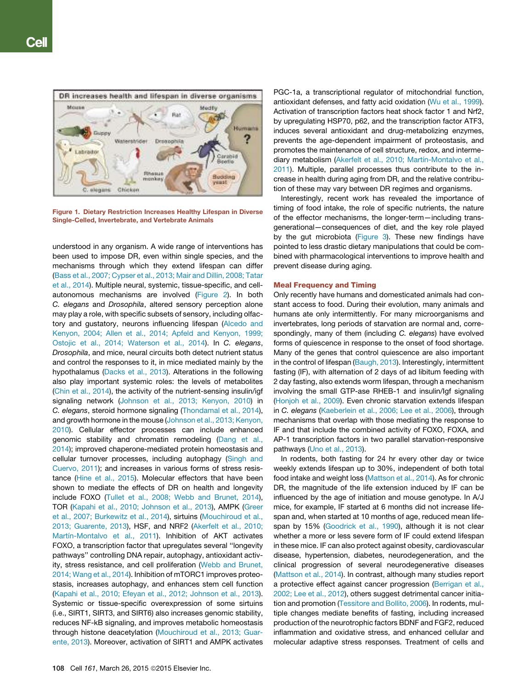<span id="page-2-0"></span>

Figure 1. Dietary Restriction Increases Healthy Lifespan in Diverse Single-Celled, Invertebrate, and Vertebrate Animals

understood in any organism. A wide range of interventions has been used to impose DR, even within single species, and the mechanisms through which they extend lifespan can differ ([Bass et al., 2007; Cypser et al., 2013; Mair and Dillin, 2008; Tatar](#page-8-1) [et al., 2014](#page-8-1)). Multiple neural, systemic, tissue-specific, and cellautonomous mechanisms are involved [\(Figure 2](#page-3-0)). In both *C. elegans* and *Drosophila*, altered sensory perception alone may play a role, with specific subsets of sensory, including olfactory and gustatory, neurons influencing lifespan [\(Alcedo and](#page-8-2) [Kenyon, 2004; Allen et al., 2014; Apfeld and Kenyon, 1999;](#page-8-2) [Ostojic et al., 2014; Waterson et al., 2014](#page-8-2)). In *C. elegans*, *Drosophila*, and mice, neural circuits both detect nutrient status and control the responses to it, in mice mediated mainly by the hypothalamus [\(Dacks et al., 2013](#page-9-7)). Alterations in the following also play important systemic roles: the levels of metabolites ([Chin et al., 2014](#page-9-8)), the activity of the nutrient-sensing insulin/igf signaling network ([Johnson et al., 2013; Kenyon, 2010\)](#page-10-3) in *C. elegans*, steroid hormone signaling [\(Thondamal et al., 2014](#page-11-0)), and growth hormone in the mouse ([Johnson et al., 2013; Kenyon,](#page-10-3) [2010](#page-10-3)). Cellular effector processes can include enhanced genomic stability and chromatin remodeling [\(Dang et al.,](#page-9-9) [2014](#page-9-9)); improved chaperone-mediated protein homeostasis and cellular turnover processes, including autophagy ([Singh and](#page-11-1) [Cuervo, 2011](#page-11-1)); and increases in various forms of stress resistance ([Hine et al., 2015\)](#page-9-10). Molecular effectors that have been shown to mediate the effects of DR on health and longevity include FOXO ([Tullet et al., 2008; Webb and Brunet, 2014](#page-11-2)), TOR [\(Kapahi et al., 2010; Johnson et al., 2013](#page-10-4)), AMPK ([Greer](#page-9-11) [et al., 2007; Burkewitz et al., 2014](#page-9-11)), sirtuins [\(Mouchiroud et al.,](#page-10-5) [2013; Guarente, 2013](#page-10-5)), HSF, and NRF2 ([Akerfelt et al., 2010;](#page-8-3) Martín-Montalvo et al., 2011). Inhibition of AKT activates FOXO, a transcription factor that upregulates several ''longevity pathways'' controlling DNA repair, autophagy, antioxidant activity, stress resistance, and cell proliferation [\(Webb and Brunet,](#page-11-3) [2014; Wang et al., 2014](#page-11-3)). Inhibition of mTORC1 improves proteostasis, increases autophagy, and enhances stem cell function ([Kapahi et al., 2010; Efeyan et al., 2012; Johnson et al., 2013](#page-10-4)). Systemic or tissue-specific overexpression of some sirtuins (i.e., SIRT1, SIRT3, and SIRT6) also increases genomic stability, reduces NF-kB signaling, and improves metabolic homeostasis through histone deacetylation [\(Mouchiroud et al., 2013; Guar](#page-10-5)[ente, 2013\)](#page-10-5). Moreover, activation of SIRT1 and AMPK activates

PGC-1a, a transcriptional regulator of mitochondrial function, antioxidant defenses, and fatty acid oxidation [\(Wu et al., 1999](#page-11-4)). Activation of transcription factors heat shock factor 1 and Nrf2, by upregulating HSP70, p62, and the transcription factor ATF3, induces several antioxidant and drug-metabolizing enzymes, prevents the age-dependent impairment of proteostasis, and promotes the maintenance of cell structure, redox, and intermediary metabolism (Akerfelt et al., 2010; Martín-Montalvo et al., [2011\)](#page-8-3). Multiple, parallel processes thus contribute to the increase in health during aging from DR, and the relative contribution of these may vary between DR regimes and organisms.

Interestingly, recent work has revealed the importance of timing of food intake, the role of specific nutrients, the nature of the effector mechanisms, the longer-term—including transgenerational—consequences of diet, and the key role played by the gut microbiota [\(Figure 3](#page-4-0)). These new findings have pointed to less drastic dietary manipulations that could be combined with pharmacological interventions to improve health and prevent disease during aging.

## Meal Frequency and Timing

Only recently have humans and domesticated animals had constant access to food. During their evolution, many animals and humans ate only intermittently. For many microorganisms and invertebrates, long periods of starvation are normal and, correspondingly, many of them (including *C. elegans*) have evolved forms of quiescence in response to the onset of food shortage. Many of the genes that control quiescence are also important in the control of lifespan [\(Baugh, 2013\)](#page-8-4). Interestingly, intermittent fasting (IF), with alternation of 2 days of ad libitum feeding with 2 day fasting, also extends worm lifespan, through a mechanism involving the small GTP-ase RHEB-1 and insulin/Igf signaling [\(Honjoh et al., 2009](#page-9-12)). Even chronic starvation extends lifespan in *C. elegans* ([Kaeberlein et al., 2006; Lee et al., 2006\)](#page-10-6), through mechanisms that overlap with those mediating the response to IF and that include the combined activity of FOXO, FOXA, and AP-1 transcription factors in two parallel starvation-responsive pathways ([Uno et al., 2013\)](#page-11-5).

In rodents, both fasting for 24 hr every other day or twice weekly extends lifespan up to 30%, independent of both total food intake and weight loss [\(Mattson et al., 2014\)](#page-10-7). As for chronic DR, the magnitude of the life extension induced by IF can be influenced by the age of initiation and mouse genotype. In A/J mice, for example, IF started at 6 months did not increase lifespan and, when started at 10 months of age, reduced mean lifespan by 15% ([Goodrick et al., 1990\)](#page-9-13), although it is not clear whether a more or less severe form of IF could extend lifespan in these mice. IF can also protect against obesity, cardiovascular disease, hypertension, diabetes, neurodegeneration, and the clinical progression of several neurodegenerative diseases [\(Mattson et al., 2014\)](#page-10-7). In contrast, although many studies report a protective effect against cancer progression [\(Berrigan et al.,](#page-8-5) [2002; Lee et al., 2012\)](#page-8-5), others suggest detrimental cancer initiation and promotion ([Tessitore and Bollito, 2006\)](#page-11-6). In rodents, multiple changes mediate benefits of fasting, including increased production of the neurotrophic factors BDNF and FGF2, reduced inflammation and oxidative stress, and enhanced cellular and molecular adaptive stress responses. Treatment of cells and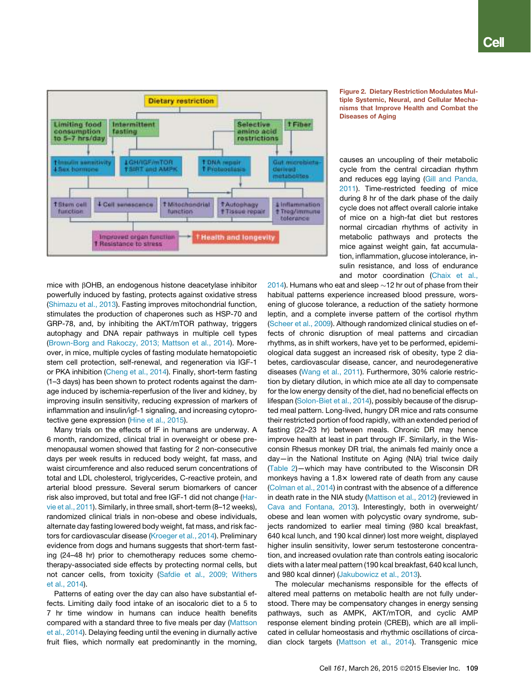<span id="page-3-0"></span>

mice with  $\beta$ OHB, an endogenous histone deacetylase inhibitor powerfully induced by fasting, protects against oxidative stress [\(Shimazu et al., 2013\)](#page-11-7). Fasting improves mitochondrial function, stimulates the production of chaperones such as HSP-70 and GRP-78, and, by inhibiting the AKT/mTOR pathway, triggers autophagy and DNA repair pathways in multiple cell types [\(Brown-Borg and Rakoczy, 2013; Mattson et al., 2014\)](#page-8-6). Moreover, in mice, multiple cycles of fasting modulate hematopoietic stem cell protection, self-renewal, and regeneration via IGF-1 or PKA inhibition [\(Cheng et al., 2014](#page-9-14)). Finally, short-term fasting (1–3 days) has been shown to protect rodents against the damage induced by ischemia-reperfusion of the liver and kidney, by improving insulin sensitivity, reducing expression of markers of inflammation and insulin/igf-1 signaling, and increasing cytoprotective gene expression ([Hine et al., 2015](#page-9-10)).

Many trials on the effects of IF in humans are underway. A 6 month, randomized, clinical trial in overweight or obese premenopausal women showed that fasting for 2 non-consecutive days per week results in reduced body weight, fat mass, and waist circumference and also reduced serum concentrations of total and LDL cholesterol, triglycerides, C-reactive protein, and arterial blood pressure. Several serum biomarkers of cancer risk also improved, but total and free IGF-1 did not change [\(Har](#page-9-15)[vie et al., 2011\)](#page-9-15). Similarly, in three small, short-term (8–12 weeks), randomized clinical trials in non-obese and obese individuals, alternate day fasting lowered body weight, fat mass, and risk factors for cardiovascular disease [\(Kroeger et al., 2014\)](#page-10-8). Preliminary evidence from dogs and humans suggests that short-term fasting (24–48 hr) prior to chemotherapy reduces some chemotherapy-associated side effects by protecting normal cells, but not cancer cells, from toxicity [\(Safdie et al., 2009; Withers](#page-11-8) [et al., 2014\)](#page-11-8).

Patterns of eating over the day can also have substantial effects. Limiting daily food intake of an isocaloric diet to a 5 to 7 hr time window in humans can induce health benefits compared with a standard three to five meals per day [\(Mattson](#page-10-7) [et al., 2014](#page-10-7)). Delaying feeding until the evening in diurnally active fruit flies, which normally eat predominantly in the morning,



causes an uncoupling of their metabolic cycle from the central circadian rhythm and reduces egg laying [\(Gill and Panda,](#page-9-16) [2011\)](#page-9-16). Time-restricted feeding of mice during 8 hr of the dark phase of the daily cycle does not affect overall calorie intake of mice on a high-fat diet but restores normal circadian rhythms of activity in metabolic pathways and protects the mice against weight gain, fat accumulation, inflammation, glucose intolerance, insulin resistance, and loss of endurance and motor coordination ([Chaix et al.,](#page-8-7)

[2014\)](#page-8-7). Humans who eat and sleep  $\sim$  12 hr out of phase from their habitual patterns experience increased blood pressure, worsening of glucose tolerance, a reduction of the satiety hormone leptin, and a complete inverse pattern of the cortisol rhythm [\(Scheer et al., 2009\)](#page-11-9). Although randomized clinical studies on effects of chronic disruption of meal patterns and circadian rhythms, as in shift workers, have yet to be performed, epidemiological data suggest an increased risk of obesity, type 2 diabetes, cardiovascular disease, cancer, and neurodegenerative diseases [\(Wang et al., 2011](#page-11-10)). Furthermore, 30% calorie restriction by dietary dilution, in which mice ate all day to compensate for the low energy density of the diet, had no beneficial effects on lifespan [\(Solon-Biet et al., 2014\)](#page-11-11), possibly because of the disrupted meal pattern. Long-lived, hungry DR mice and rats consume their restricted portion of food rapidly, with an extended period of fasting (22–23 hr) between meals. Chronic DR may hence improve health at least in part through IF. Similarly, in the Wisconsin Rhesus monkey DR trial, the animals fed mainly once a day—in the National Institute on Aging (NIA) trial twice daily [\(Table 2\)](#page-5-0)—which may have contributed to the Wisconsin DR monkeys having a  $1.8x$  lowered rate of death from any cause [\(Colman et al., 2014\)](#page-9-3) in contrast with the absence of a difference in death rate in the NIA study [\(Mattison et al., 2012\)](#page-10-9) (reviewed in [Cava and Fontana, 2013\)](#page-8-0). Interestingly, both in overweight/ obese and lean women with polycystic ovary syndrome, subjects randomized to earlier meal timing (980 kcal breakfast, 640 kcal lunch, and 190 kcal dinner) lost more weight, displayed higher insulin sensitivity, lower serum testosterone concentration, and increased ovulation rate than controls eating isocaloric diets with a later meal pattern (190 kcal breakfast, 640 kcal lunch, and 980 kcal dinner) [\(Jakubowicz et al., 2013\)](#page-10-10).

The molecular mechanisms responsible for the effects of altered meal patterns on metabolic health are not fully understood. There may be compensatory changes in energy sensing pathways, such as AMPK, AKT/mTOR, and cyclic AMP response element binding protein (CREB), which are all implicated in cellular homeostasis and rhythmic oscillations of circadian clock targets ([Mattson et al., 2014](#page-10-7)). Transgenic mice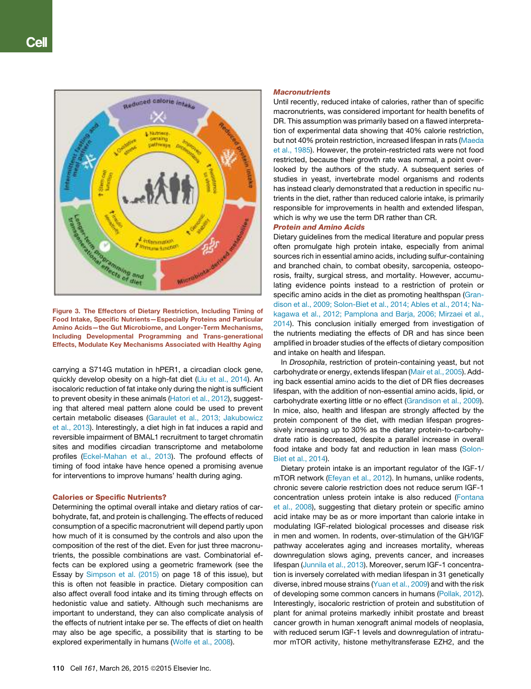<span id="page-4-0"></span>

Figure 3. The Effectors of Dietary Restriction, Including Timing of Food Intake, Specific Nutrients—Especially Proteins and Particular Amino Acids—the Gut Microbiome, and Longer-Term Mechanisms, Including Developmental Programming and Trans-generational Effects, Modulate Key Mechanisms Associated with Healthy Aging

carrying a S714G mutation in hPER1, a circadian clock gene, quickly develop obesity on a high-fat diet [\(Liu et al., 2014](#page-10-11)). An isocaloric reduction of fat intake only during the night is sufficient to prevent obesity in these animals [\(Hatori et al., 2012](#page-9-17)), suggesting that altered meal pattern alone could be used to prevent certain metabolic diseases ([Garaulet et al., 2013; Jakubowicz](#page-9-18) [et al., 2013\)](#page-9-18). Interestingly, a diet high in fat induces a rapid and reversible impairment of BMAL1 recruitment to target chromatin sites and modifies circadian transcriptome and metabolome profiles [\(Eckel-Mahan et al., 2013\)](#page-9-19). The profound effects of timing of food intake have hence opened a promising avenue for interventions to improve humans' health during aging.

## Calories or Specific Nutrients?

Determining the optimal overall intake and dietary ratios of carbohydrate, fat, and protein is challenging. The effects of reduced consumption of a specific macronutrient will depend partly upon how much of it is consumed by the controls and also upon the composition of the rest of the diet. Even for just three macronutrients, the possible combinations are vast. Combinatorial effects can be explored using a geometric framework (see the Essay by [Simpson et al. \(2015\)](#page-11-12) on page 18 of this issue), but this is often not feasible in practice. Dietary composition can also affect overall food intake and its timing through effects on hedonistic value and satiety. Although such mechanisms are important to understand, they can also complicate analysis of the effects of nutrient intake per se. The effects of diet on health may also be age specific, a possibility that is starting to be explored experimentally in humans [\(Wolfe et al., 2008](#page-11-13)).

## **Macronutrients**

Until recently, reduced intake of calories, rather than of specific macronutrients, was considered important for health benefits of DR. This assumption was primarily based on a flawed interpretation of experimental data showing that 40% calorie restriction, but not 40% protein restriction, increased lifespan in rats ([Maeda](#page-10-12) [et al., 1985\)](#page-10-12). However, the protein-restricted rats were not food restricted, because their growth rate was normal, a point overlooked by the authors of the study. A subsequent series of studies in yeast, invertebrate model organisms and rodents has instead clearly demonstrated that a reduction in specific nutrients in the diet, rather than reduced calorie intake, is primarily responsible for improvements in health and extended lifespan, which is why we use the term DR rather than CR.

## Protein and Amino Acids

Dietary guidelines from the medical literature and popular press often promulgate high protein intake, especially from animal sources rich in essential amino acids, including sulfur-containing and branched chain, to combat obesity, sarcopenia, osteoporosis, frailty, surgical stress, and mortality. However, accumulating evidence points instead to a restriction of protein or specific amino acids in the diet as promoting healthspan [\(Gran](#page-9-20)[dison et al., 2009; Solon-Biet et al., 2014; Ables et al., 2014; Na](#page-9-20)[kagawa et al., 2012; Pamplona and Barja, 2006; Mirzaei et al.,](#page-9-20) [2014\)](#page-9-20). This conclusion initially emerged from investigation of the nutrients mediating the effects of DR and has since been amplified in broader studies of the effects of dietary composition and intake on health and lifespan.

In *Drosophila*, restriction of protein-containing yeast, but not carbohydrate or energy, extends lifespan ([Mair et al., 2005](#page-10-13)). Adding back essential amino acids to the diet of DR flies decreases lifespan, with the addition of non-essential amino acids, lipid, or carbohydrate exerting little or no effect ([Grandison et al., 2009](#page-9-20)). In mice, also, health and lifespan are strongly affected by the protein component of the diet, with median lifespan progressively increasing up to 30% as the dietary protein-to-carbohydrate ratio is decreased, despite a parallel increase in overall food intake and body fat and reduction in lean mass ([Solon-](#page-11-11)[Biet et al., 2014\)](#page-11-11).

Dietary protein intake is an important regulator of the IGF-1/ mTOR network ([Efeyan et al., 2012\)](#page-9-21). In humans, unlike rodents, chronic severe calorie restriction does not reduce serum IGF-1 concentration unless protein intake is also reduced [\(Fontana](#page-9-22) [et al., 2008](#page-9-22)), suggesting that dietary protein or specific amino acid intake may be as or more important than calorie intake in modulating IGF-related biological processes and disease risk in men and women. In rodents, over-stimulation of the GH/IGF pathway accelerates aging and increases mortality, whereas downregulation slows aging, prevents cancer, and increases lifespan [\(Junnila et al., 2013](#page-10-14)). Moreover, serum IGF-1 concentration is inversely correlated with median lifespan in 31 genetically diverse, inbred mouse strains [\(Yuan et al., 2009\)](#page-12-0) and with the risk of developing some common cancers in humans ([Pollak, 2012](#page-11-14)). Interestingly, isocaloric restriction of protein and substitution of plant for animal proteins markedly inhibit prostate and breast cancer growth in human xenograft animal models of neoplasia, with reduced serum IGF-1 levels and downregulation of intratumor mTOR activity, histone methyltransferase EZH2, and the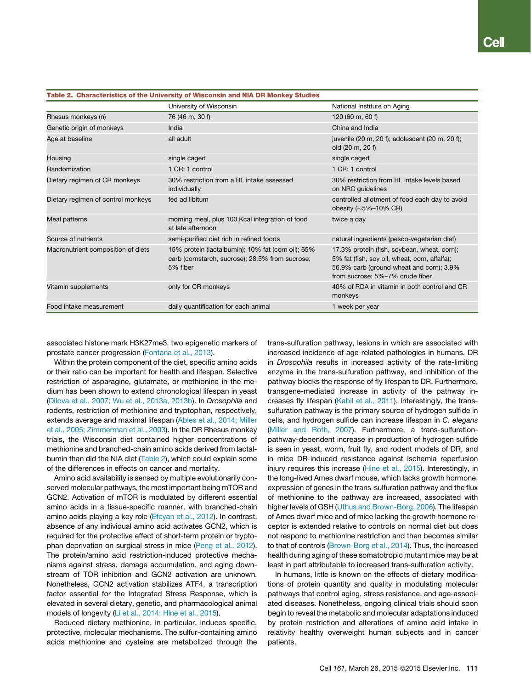<span id="page-5-0"></span>

| Table 2. Characteristics of the University of Wisconsin and NIA DR Monkey Studies |                                                                                                                   |                                                                                                                                                                             |  |  |
|-----------------------------------------------------------------------------------|-------------------------------------------------------------------------------------------------------------------|-----------------------------------------------------------------------------------------------------------------------------------------------------------------------------|--|--|
|                                                                                   | University of Wisconsin                                                                                           | National Institute on Aging                                                                                                                                                 |  |  |
| Rhesus monkeys (n)                                                                | 76 (46 m, 30 f)                                                                                                   | 120 (60 m, 60 f)                                                                                                                                                            |  |  |
| Genetic origin of monkeys                                                         | India                                                                                                             | China and India                                                                                                                                                             |  |  |
| Age at baseline                                                                   | all adult                                                                                                         | juvenile (20 m, 20 f); adolescent (20 m, 20 f);<br>old (20 m, 20 f)                                                                                                         |  |  |
| Housing                                                                           | single caged                                                                                                      | single caged                                                                                                                                                                |  |  |
| Randomization                                                                     | 1 CR: 1 control                                                                                                   | 1 CR: 1 control                                                                                                                                                             |  |  |
| Dietary regimen of CR monkeys                                                     | 30% restriction from a BL intake assessed<br>individually                                                         | 30% restriction from BL intake levels based<br>on NRC guidelines                                                                                                            |  |  |
| Dietary regimen of control monkeys                                                | fed ad libitum                                                                                                    | controlled allotment of food each day to avoid<br>obesity ( $\sim$ 5%–10% CR)                                                                                               |  |  |
| Meal patterns                                                                     | morning meal, plus 100 Kcal integration of food<br>at late afternoon                                              | twice a day                                                                                                                                                                 |  |  |
| Source of nutrients                                                               | semi-purified diet rich in refined foods                                                                          | natural ingredients (pesco-vegetarian diet)                                                                                                                                 |  |  |
| Macronutrient composition of diets                                                | 15% protein (lactalbumin); 10% fat (corn oil); 65%<br>carb (cornstarch, sucrose); 28.5% from sucrose;<br>5% fiber | 17.3% protein (fish, soybean, wheat, corn);<br>5% fat (fish, soy oil, wheat, corn, alfalfa);<br>56.9% carb (ground wheat and corn); 3.9%<br>from sucrose; 5%-7% crude fiber |  |  |
| Vitamin supplements                                                               | only for CR monkeys                                                                                               | 40% of RDA in vitamin in both control and CR<br>monkeys                                                                                                                     |  |  |
| Food intake measurement                                                           | daily quantification for each animal                                                                              | 1 week per year                                                                                                                                                             |  |  |

associated histone mark H3K27me3, two epigenetic markers of prostate cancer progression ([Fontana et al., 2013\)](#page-9-23).

Within the protein component of the diet, specific amino acids or their ratio can be important for health and lifespan. Selective restriction of asparagine, glutamate, or methionine in the medium has been shown to extend chronological lifespan in yeast [\(Dilova et al., 2007; Wu et al., 2013a, 2013b\)](#page-9-24). In *Drosophila* and rodents, restriction of methionine and tryptophan, respectively, extends average and maximal lifespan [\(Ables et al., 2014; Miller](#page-8-8) [et al., 2005; Zimmerman et al., 2003](#page-8-8)). In the DR Rhesus monkey trials, the Wisconsin diet contained higher concentrations of methionine and branched-chain amino acids derived from lactal-bumin than did the NIA diet [\(Table 2\)](#page-5-0), which could explain some of the differences in effects on cancer and mortality.

Amino acid availability is sensed by multiple evolutionarily conserved molecular pathways, the most important being mTOR and GCN2. Activation of mTOR is modulated by different essential amino acids in a tissue-specific manner, with branched-chain amino acids playing a key role [\(Efeyan et al., 2012\)](#page-9-21). In contrast, absence of any individual amino acid activates GCN2, which is required for the protective effect of short-term protein or tryptophan deprivation on surgical stress in mice [\(Peng et al., 2012\)](#page-11-15). The protein/amino acid restriction-induced protective mechanisms against stress, damage accumulation, and aging downstream of TOR inhibition and GCN2 activation are unknown. Nonetheless, GCN2 activation stabilizes ATF4, a transcription factor essential for the Integrated Stress Response, which is elevated in several dietary, genetic, and pharmacological animal models of longevity [\(Li et al., 2014; Hine et al., 2015](#page-10-15)).

Reduced dietary methionine, in particular, induces specific, protective, molecular mechanisms. The sulfur-containing amino acids methionine and cysteine are metabolized through the

trans-sulfuration pathway, lesions in which are associated with increased incidence of age-related pathologies in humans. DR in *Drosophila* results in increased activity of the rate-limiting enzyme in the trans-sulfuration pathway, and inhibition of the pathway blocks the response of fly lifespan to DR. Furthermore, transgene-mediated increase in activity of the pathway increases fly lifespan ([Kabil et al., 2011\)](#page-10-16). Interestingly, the transsulfuration pathway is the primary source of hydrogen sulfide in cells, and hydrogen sulfide can increase lifespan in *C. elegans* [\(Miller and Roth, 2007](#page-10-17)). Furthermore, a trans-sulfurationpathway-dependent increase in production of hydrogen sulfide is seen in yeast, worm, fruit fly, and rodent models of DR, and in mice DR-induced resistance against ischemia reperfusion injury requires this increase [\(Hine et al., 2015\)](#page-9-10). Interestingly, in the long-lived Ames dwarf mouse, which lacks growth hormone, expression of genes in the trans-sulfuration pathway and the flux of methionine to the pathway are increased, associated with higher levels of GSH [\(Uthus and Brown-Borg, 2006\)](#page-11-16). The lifespan of Ames dwarf mice and of mice lacking the growth hormone receptor is extended relative to controls on normal diet but does not respond to methionine restriction and then becomes similar to that of controls ([Brown-Borg et al., 2014](#page-8-9)). Thus, the increased health during aging of these somatotropic mutant mice may be at least in part attributable to increased trans-sulfuration activity.

In humans, little is known on the effects of dietary modifications of protein quantity and quality in modulating molecular pathways that control aging, stress resistance, and age-associated diseases. Nonetheless, ongoing clinical trials should soon begin to reveal the metabolic and molecular adaptations induced by protein restriction and alterations of amino acid intake in relativity healthy overweight human subjects and in cancer patients.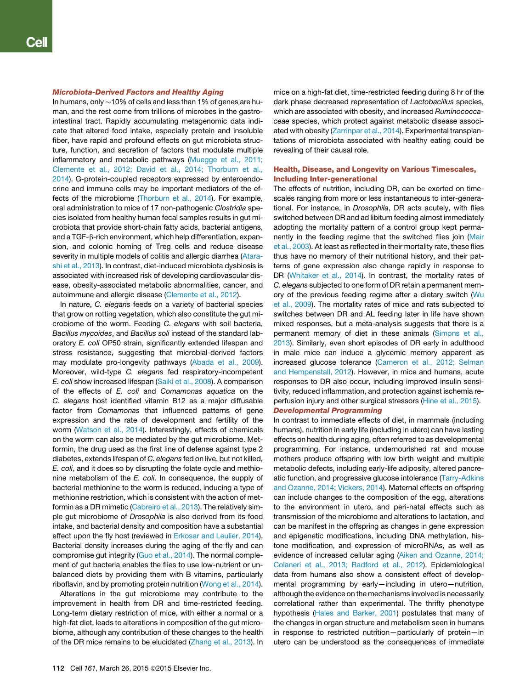## Microbiota-Derived Factors and Healthy Aging

In humans, only  $\sim$  10% of cells and less than 1% of genes are human, and the rest come from trillions of microbes in the gastrointestinal tract. Rapidly accumulating metagenomic data indicate that altered food intake, especially protein and insoluble fiber, have rapid and profound effects on gut microbiota structure, function, and secretion of factors that modulate multiple inflammatory and metabolic pathways ([Muegge et al., 2011;](#page-10-18) [Clemente et al., 2012; David et al., 2014; Thorburn et al.,](#page-10-18) [2014](#page-10-18)). G-protein-coupled receptors expressed by enteroendocrine and immune cells may be important mediators of the effects of the microbiome [\(Thorburn et al., 2014](#page-11-17)). For example, oral administration to mice of 17 non-pathogenic *Clostridia* species isolated from healthy human fecal samples results in gut microbiota that provide short-chain fatty acids, bacterial antigens, and a TGF- $\beta$ -rich environment, which help differentiation, expansion, and colonic homing of Treg cells and reduce disease severity in multiple models of colitis and allergic diarrhea ([Atara](#page-8-10)[shi et al., 2013](#page-8-10)). In contrast, diet-induced microbiota dysbiosis is associated with increased risk of developing cardiovascular disease, obesity-associated metabolic abnormalities, cancer, and autoimmune and allergic disease ([Clemente et al., 2012](#page-9-25)).

In nature, *C. elegans* feeds on a variety of bacterial species that grow on rotting vegetation, which also constitute the gut microbiome of the worm. Feeding *C. elegans* with soil bacteria, *Bacillus mycoides*, and *Bacillus soli* instead of the standard laboratory *E. coli* OP50 strain, significantly extended lifespan and stress resistance, suggesting that microbial-derived factors may modulate pro-longevity pathways [\(Abada et al., 2009](#page-8-11)). Moreover, wild-type *C. elegans* fed respiratory-incompetent *E. coli* show increased lifespan ([Saiki et al., 2008](#page-11-18)). A comparison of the effects of *E. coli* and *Comamonas aquatica* on the *C. elegans* host identified vitamin B12 as a major diffusable factor from *Comamonas* that influenced patterns of gene expression and the rate of development and fertility of the worm ([Watson et al., 2014](#page-11-19)). Interestingly, effects of chemicals on the worm can also be mediated by the gut microbiome. Metformin, the drug used as the first line of defense against type 2 diabetes, extends lifespan of *C. elegans* fed on live, but not killed, *E. coli*, and it does so by disrupting the folate cycle and methionine metabolism of the *E. coli*. In consequence, the supply of bacterial methionine to the worm is reduced, inducing a type of methionine restriction, which is consistent with the action of metformin as a DR mimetic ([Cabreiro et al., 2013](#page-8-12)). The relatively simple gut microbiome of *Drosophila* is also derived from its food intake, and bacterial density and composition have a substantial effect upon the fly host (reviewed in [Erkosar and Leulier, 2014](#page-9-26)). Bacterial density increases during the aging of the fly and can compromise gut integrity ([Guo et al., 2014\)](#page-9-27). The normal complement of gut bacteria enables the flies to use low-nutrient or unbalanced diets by providing them with B vitamins, particularly riboflavin, and by promoting protein nutrition [\(Wong et al., 2014](#page-11-20)).

Alterations in the gut microbiome may contribute to the improvement in health from DR and time-restricted feeding. Long-term dietary restriction of mice, with either a normal or a high-fat diet, leads to alterations in composition of the gut microbiome, although any contribution of these changes to the health of the DR mice remains to be elucidated ([Zhang et al., 2013](#page-12-1)). In

mice on a high-fat diet, time-restricted feeding during 8 hr of the dark phase decreased representation of *Lactobacillus* species, which are associated with obesity, and increased *Ruminococcaceae* species, which protect against metabolic disease associated with obesity ([Zarrinpar et al., 2014](#page-12-2)). Experimental transplantations of microbiota associated with healthy eating could be revealing of their causal role.

## Health, Disease, and Longevity on Various Timescales, Including Inter-generational

The effects of nutrition, including DR, can be exerted on timescales ranging from more or less instantaneous to inter-generational. For instance, in *Drosophila*, DR acts acutely, with flies switched between DR and ad libitum feeding almost immediately adopting the mortality pattern of a control group kept permanently in the feeding regime that the switched flies join [\(Mair](#page-10-19) [et al., 2003](#page-10-19)). At least as reflected in their mortality rate, these flies thus have no memory of their nutritional history, and their patterns of gene expression also change rapidly in response to DR ([Whitaker et al., 2014\)](#page-11-21). In contrast, the mortality rates of *C. elegans* subjected to one form of DR retain a permanent mem-ory of the previous feeding regime after a dietary switch [\(Wu](#page-11-22) [et al., 2009\)](#page-11-22). The mortality rates of mice and rats subjected to switches between DR and AL feeding later in life have shown mixed responses, but a meta-analysis suggests that there is a permanent memory of diet in these animals [\(Simons et al.,](#page-11-23) [2013\)](#page-11-23). Similarly, even short episodes of DR early in adulthood in male mice can induce a glycemic memory apparent as increased glucose tolerance ([Cameron et al., 2012; Selman](#page-8-13) [and Hempenstall, 2012](#page-8-13)). However, in mice and humans, acute responses to DR also occur, including improved insulin sensitivity, reduced inflammation, and protection against ischemia reperfusion injury and other surgical stressors ([Hine et al., 2015](#page-9-10)).

## Developmental Programming

In contrast to immediate effects of diet, in mammals (including humans), nutrition in early life (including in utero) can have lasting effects on health during aging, often referred to as developmental programming. For instance, undernourished rat and mouse mothers produce offspring with low birth weight and multiple metabolic defects, including early-life adiposity, altered pancreatic function, and progressive glucose intolerance ([Tarry-Adkins](#page-11-24) [and Ozanne, 2014; Vickers, 2014](#page-11-24)). Maternal effects on offspring can include changes to the composition of the egg, alterations to the environment in utero, and peri-natal effects such as transmission of the microbiome and alterations to lactation, and can be manifest in the offspring as changes in gene expression and epigenetic modifications, including DNA methylation, histone modification, and expression of microRNAs, as well as evidence of increased cellular aging [\(Aiken and Ozanne, 2014;](#page-8-14) [Colaneri et al., 2013; Radford et al., 2012\)](#page-8-14). Epidemiological data from humans also show a consistent effect of developmental programming by early—including in utero—nutrition, although the evidence on the mechanisms involved is necessarily correlational rather than experimental. The thrifty phenotype hypothesis ([Hales and Barker, 2001\)](#page-9-28) postulates that many of the changes in organ structure and metabolism seen in humans in response to restricted nutrition—particularly of protein—in utero can be understood as the consequences of immediate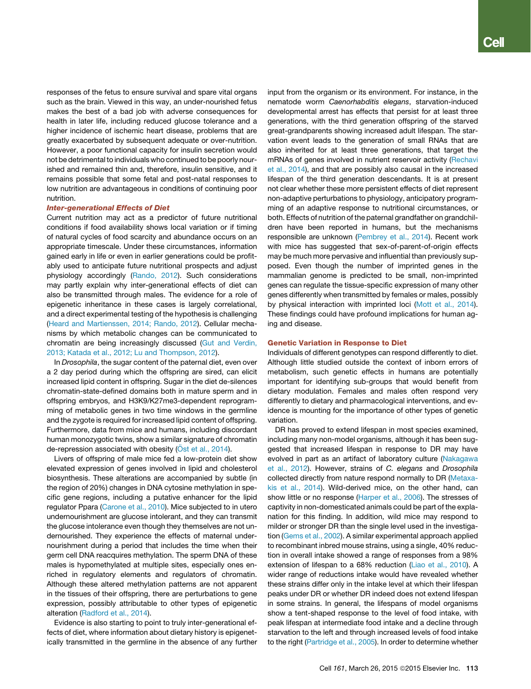responses of the fetus to ensure survival and spare vital organs such as the brain. Viewed in this way, an under-nourished fetus makes the best of a bad job with adverse consequences for health in later life, including reduced glucose tolerance and a higher incidence of ischemic heart disease, problems that are greatly exacerbated by subsequent adequate or over-nutrition. However, a poor functional capacity for insulin secretion would not be detrimental to individuals who continued to be poorly nourished and remained thin and, therefore, insulin sensitive, and it remains possible that some fetal and post-natal responses to low nutrition are advantageous in conditions of continuing poor nutrition.

## Inter-generational Effects of Diet

Current nutrition may act as a predictor of future nutritional conditions if food availability shows local variation or if timing of natural cycles of food scarcity and abundance occurs on an appropriate timescale. Under these circumstances, information gained early in life or even in earlier generations could be profitably used to anticipate future nutritional prospects and adjust physiology accordingly ([Rando, 2012\)](#page-11-25). Such considerations may partly explain why inter-generational effects of diet can also be transmitted through males. The evidence for a role of epigenetic inheritance in these cases is largely correlational, and a direct experimental testing of the hypothesis is challenging [\(Heard and Martienssen, 2014; Rando, 2012](#page-9-29)). Cellular mechanisms by which metabolic changes can be communicated to chromatin are being increasingly discussed ([Gut and Verdin,](#page-9-30) [2013; Katada et al., 2012; Lu and Thompson, 2012\)](#page-9-30).

In *Drosophila*, the sugar content of the paternal diet, even over a 2 day period during which the offspring are sired, can elicit increased lipid content in offspring. Sugar in the diet de-silences chromatin-state-defined domains both in mature sperm and in offspring embryos, and H3K9/K27me3-dependent reprogramming of metabolic genes in two time windows in the germline and the zygote is required for increased lipid content of offspring. Furthermore, data from mice and humans, including discordant human monozygotic twins, show a similar signature of chromatin de-repression associated with obesity ( $\ddot{\text{O}}$ [st et al., 2014](#page-10-20)).

Livers of offspring of male mice fed a low-protein diet show elevated expression of genes involved in lipid and cholesterol biosynthesis. These alterations are accompanied by subtle (in the region of 20%) changes in DNA cytosine methylation in specific gene regions, including a putative enhancer for the lipid regulator Ppara ([Carone et al., 2010](#page-8-15)). Mice subjected to in utero undernourishment are glucose intolerant, and they can transmit the glucose intolerance even though they themselves are not undernourished. They experience the effects of maternal undernourishment during a period that includes the time when their germ cell DNA reacquires methylation. The sperm DNA of these males is hypomethylated at multiple sites, especially ones enriched in regulatory elements and regulators of chromatin. Although these altered methylation patterns are not apparent in the tissues of their offspring, there are perturbations to gene expression, possibly attributable to other types of epigenetic alteration ([Radford et al., 2014\)](#page-11-26).

Evidence is also starting to point to truly inter-generational effects of diet, where information about dietary history is epigenetically transmitted in the germline in the absence of any further

input from the organism or its environment. For instance, in the nematode worm *Caenorhabditis elegans*, starvation-induced developmental arrest has effects that persist for at least three generations, with the third generation offspring of the starved great-grandparents showing increased adult lifespan. The starvation event leads to the generation of small RNAs that are also inherited for at least three generations, that target the mRNAs of genes involved in nutrient reservoir activity ([Rechavi](#page-11-27) [et al., 2014\)](#page-11-27), and that are possibly also causal in the increased lifespan of the third generation descendants. It is at present not clear whether these more persistent effects of diet represent non-adaptive perturbations to physiology, anticipatory programming of an adaptive response to nutritional circumstances, or both. Effects of nutrition of the paternal grandfather on grandchildren have been reported in humans, but the mechanisms responsible are unknown [\(Pembrey et al., 2014\)](#page-10-21). Recent work with mice has suggested that sex-of-parent-of-origin effects may be much more pervasive and influential than previously supposed. Even though the number of imprinted genes in the mammalian genome is predicted to be small, non-imprinted genes can regulate the tissue-specific expression of many other genes differently when transmitted by females or males, possibly by physical interaction with imprinted loci ([Mott et al., 2014\)](#page-10-22). These findings could have profound implications for human aging and disease.

## Genetic Variation in Response to Diet

Individuals of different genotypes can respond differently to diet. Although little studied outside the context of inborn errors of metabolism, such genetic effects in humans are potentially important for identifying sub-groups that would benefit from dietary modulation. Females and males often respond very differently to dietary and pharmacological interventions, and evidence is mounting for the importance of other types of genetic variation.

DR has proved to extend lifespan in most species examined, including many non-model organisms, although it has been suggested that increased lifespan in response to DR may have evolved in part as an artifact of laboratory culture [\(Nakagawa](#page-10-23) [et al., 2012](#page-10-23)). However, strains of *C. elegans* and *Drosophila* collected directly from nature respond normally to DR ([Metaxa](#page-10-0)[kis et al., 2014](#page-10-0)). Wild-derived mice, on the other hand, can show little or no response [\(Harper et al., 2006\)](#page-9-31). The stresses of captivity in non-domesticated animals could be part of the explanation for this finding. In addition, wild mice may respond to milder or stronger DR than the single level used in the investigation [\(Gems et al., 2002](#page-9-32)). A similar experimental approach applied to recombinant inbred mouse strains, using a single, 40% reduction in overall intake showed a range of responses from a 98% extension of lifespan to a 68% reduction [\(Liao et al., 2010](#page-10-24)). A wider range of reductions intake would have revealed whether these strains differ only in the intake level at which their lifespan peaks under DR or whether DR indeed does not extend lifespan in some strains. In general, the lifespans of model organisms show a tent-shaped response to the level of food intake, with peak lifespan at intermediate food intake and a decline through starvation to the left and through increased levels of food intake to the right [\(Partridge et al., 2005](#page-10-25)). In order to determine whether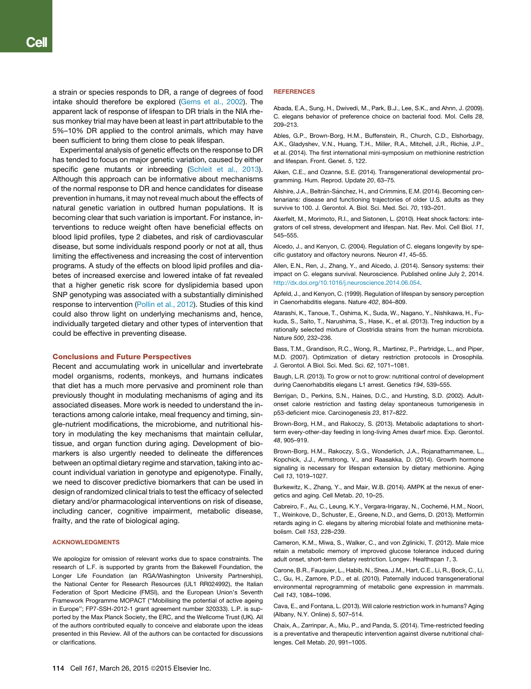a strain or species responds to DR, a range of degrees of food intake should therefore be explored ([Gems et al., 2002](#page-9-32)). The apparent lack of response of lifespan to DR trials in the NIA rhesus monkey trial may have been at least in part attributable to the 5%–10% DR applied to the control animals, which may have been sufficient to bring them close to peak lifespan.

Experimental analysis of genetic effects on the response to DR has tended to focus on major genetic variation, caused by either specific gene mutants or inbreeding [\(Schleit et al., 2013](#page-11-28)). Although this approach can be informative about mechanisms of the normal response to DR and hence candidates for disease prevention in humans, it may not reveal much about the effects of natural genetic variation in outbred human populations. It is becoming clear that such variation is important. For instance, interventions to reduce weight often have beneficial effects on blood lipid profiles, type 2 diabetes, and risk of cardiovascular disease, but some individuals respond poorly or not at all, thus limiting the effectiveness and increasing the cost of intervention programs. A study of the effects on blood lipid profiles and diabetes of increased exercise and lowered intake of fat revealed that a higher genetic risk score for dyslipidemia based upon SNP genotyping was associated with a substantially diminished response to intervention [\(Pollin et al., 2012\)](#page-11-29). Studies of this kind could also throw light on underlying mechanisms and, hence, individually targeted dietary and other types of intervention that could be effective in preventing disease.

## Conclusions and Future Perspectives

Recent and accumulating work in unicellular and invertebrate model organisms, rodents, monkeys, and humans indicates that diet has a much more pervasive and prominent role than previously thought in modulating mechanisms of aging and its associated diseases. More work is needed to understand the interactions among calorie intake, meal frequency and timing, single-nutrient modifications, the microbiome, and nutritional history in modulating the key mechanisms that maintain cellular, tissue, and organ function during aging. Development of biomarkers is also urgently needed to delineate the differences between an optimal dietary regime and starvation, taking into account individual variation in genotype and epigenotype. Finally, we need to discover predictive biomarkers that can be used in design of randomized clinical trials to test the efficacy of selected dietary and/or pharmacological interventions on risk of disease, including cancer, cognitive impairment, metabolic disease, frailty, and the rate of biological aging.

#### ACKNOWLEDGMENTS

We apologize for omission of relevant works due to space constraints. The research of L.F. is supported by grants from the Bakewell Foundation, the Longer Life Foundation (an RGA/Washington University Partnership), the National Center for Research Resources (UL1 RR024992), the Italian Federation of Sport Medicine (FMSI), and the European Union's Seventh Framework Programme MOPACT (''Mobilising the potential of active ageing in Europe''; FP7-SSH-2012-1 grant agreement number 320333). L.P. is supported by the Max Planck Society, the ERC, and the Wellcome Trust (UK). All of the authors contributed equally to conceive and elaborate upon the ideas presented in this Review. All of the authors can be contacted for discussions or clarifications.

## **REFERENCES**

<span id="page-8-11"></span>Abada, E.A., Sung, H., Dwivedi, M., Park, B.J., Lee, S.K., and Ahnn, J. (2009). C. elegans behavior of preference choice on bacterial food. Mol. Cells *28*, 209–213.

<span id="page-8-8"></span>Ables, G.P., Brown-Borg, H.M., Buffenstein, R., Church, C.D., Elshorbagy, A.K., Gladyshev, V.N., Huang, T.H., Miller, R.A., Mitchell, J.R., Richie, J.P., et al. (2014). The first international mini-symposium on methionine restriction and lifespan. Front. Genet. *5*, 122.

<span id="page-8-14"></span>Aiken, C.E., and Ozanne, S.E. (2014). Transgenerational developmental programming. Hum. Reprod. Update *20*, 63–75.

Ailshire, J.A., Beltrán-Sánchez, H., and Crimmins, E.M. (2014). Becoming centenarians: disease and functioning trajectories of older U.S. adults as they survive to 100. J. Gerontol. A. Biol. Sci. Med. Sci. *70*, 193–201.

<span id="page-8-3"></span>Akerfelt, M., Morimoto, R.L., and Sistonen, L. (2010). Heat shock factors: integrators of cell stress, development and lifespan. Nat. Rev. Mol. Cell Biol. *11*, 545–555.

<span id="page-8-2"></span>Alcedo, J., and Kenyon, C. (2004). Regulation of C. elegans longevity by specific gustatory and olfactory neurons. Neuron *41*, 45–55.

Allen, E.N., Ren, J., Zhang, Y., and Alcedo, J. (2014). Sensory systems: their impact on C. elegans survival. Neuroscience. Published online July 2, 2014. <http://dx.doi.org/10.1016/j.neuroscience.2014.06.054>.

Apfeld, J., and Kenyon, C. (1999). Regulation of lifespan by sensory perception in Caenorhabditis elegans. Nature *402*, 804–809.

<span id="page-8-10"></span>Atarashi, K., Tanoue, T., Oshima, K., Suda, W., Nagano, Y., Nishikawa, H., Fukuda, S., Saito, T., Narushima, S., Hase, K., et al. (2013). Treg induction by a rationally selected mixture of Clostridia strains from the human microbiota. Nature *500*, 232–236.

<span id="page-8-1"></span>Bass, T.M., Grandison, R.C., Wong, R., Martinez, P., Partridge, L., and Piper, M.D. (2007). Optimization of dietary restriction protocols in Drosophila. J. Gerontol. A Biol. Sci. Med. Sci. *62*, 1071–1081.

<span id="page-8-5"></span><span id="page-8-4"></span>Baugh, L.R. (2013). To grow or not to grow: nutritional control of development during Caenorhabditis elegans L1 arrest. Genetics *194*, 539–555.

Berrigan, D., Perkins, S.N., Haines, D.C., and Hursting, S.D. (2002). Adultonset calorie restriction and fasting delay spontaneous tumorigenesis in p53-deficient mice. Carcinogenesis *23*, 817–822.

<span id="page-8-6"></span>Brown-Borg, H.M., and Rakoczy, S. (2013). Metabolic adaptations to shortterm every-other-day feeding in long-living Ames dwarf mice. Exp. Gerontol. *48*, 905–919.

<span id="page-8-9"></span>Brown-Borg, H.M., Rakoczy, S.G., Wonderlich, J.A., Rojanathammanee, L., Kopchick, J.J., Armstrong, V., and Raasakka, D. (2014). Growth hormone signaling is necessary for lifespan extension by dietary methionine. Aging Cell *13*, 1019–1027.

<span id="page-8-12"></span>Burkewitz, K., Zhang, Y., and Mair, W.B. (2014). AMPK at the nexus of energetics and aging. Cell Metab. *20*, 10–25.

Cabreiro, F., Au, C., Leung, K.Y., Vergara-Irigaray, N., Cochemé, H.M., Noori, T., Weinkove, D., Schuster, E., Greene, N.D., and Gems, D. (2013). Metformin retards aging in C. elegans by altering microbial folate and methionine metabolism. Cell *153*, 228–239.

<span id="page-8-15"></span><span id="page-8-13"></span>Cameron, K.M., Miwa, S., Walker, C., and von Zglinicki, T. (2012). Male mice retain a metabolic memory of improved glucose tolerance induced during adult onset, short-term dietary restriction. Longev. Healthspan *1*, 3.

Carone, B.R., Fauquier, L., Habib, N., Shea, J.M., Hart, C.E., Li, R., Bock, C., Li, C., Gu, H., Zamore, P.D., et al. (2010). Paternally induced transgenerational environmental reprogramming of metabolic gene expression in mammals. Cell *143*, 1084–1096.

<span id="page-8-7"></span><span id="page-8-0"></span>Cava, E., and Fontana, L. (2013). Will calorie restriction work in humans? Aging (Albany, N.Y. Online) *5*, 507–514.

Chaix, A., Zarrinpar, A., Miu, P., and Panda, S. (2014). Time-restricted feeding is a preventative and therapeutic intervention against diverse nutritional challenges. Cell Metab. *20*, 991–1005.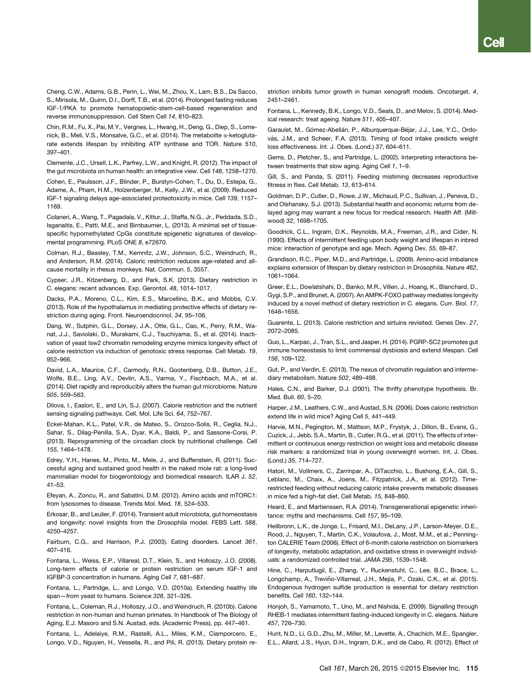<span id="page-9-14"></span>Cheng, C.W., Adams, G.B., Perin, L., Wei, M., Zhou, X., Lam, B.S., Da Sacco, S., Mirisola, M., Quinn, D.I., Dorff, T.B., et al. (2014). Prolonged fasting reduces IGF-1/PKA to promote hematopoietic-stem-cell-based regeneration and reverse immunosuppression. Cell Stem Cell *14*, 810–823.

<span id="page-9-8"></span>Chin, R.M., Fu, X., Pai, M.Y., Vergnes, L., Hwang, H., Deng, G., Diep, S., Lomenick, B., Meli, V.S., Monsalve, G.C., et al. (2014). The metabolite a-ketoglutarate extends lifespan by inhibiting ATP synthase and TOR. Nature *510*, 397–401.

<span id="page-9-25"></span>Clemente, J.C., Ursell, L.K., Parfrey, L.W., and Knight, R. (2012). The impact of the gut microbiota on human health: an integrative view. Cell *148*, 1258–1270.

<span id="page-9-1"></span>Cohen, E., Paulsson, J.F., Blinder, P., Burstyn-Cohen, T., Du, D., Estepa, G., Adame, A., Pham, H.M., Holzenberger, M., Kelly, J.W., et al. (2009). Reduced IGF-1 signaling delays age-associated proteotoxicity in mice. Cell *139*, 1157– 1169.

Colaneri, A., Wang, T., Pagadala, V., Kittur, J., Staffa, N.G., Jr., Peddada, S.D., Isganaitis, E., Patti, M.E., and Birnbaumer, L. (2013). A minimal set of tissuespecific hypomethylated CpGs constitute epigenetic signatures of developmental programming. PLoS ONE *8*, e72670.

<span id="page-9-3"></span>Colman, R.J., Beasley, T.M., Kemnitz, J.W., Johnson, S.C., Weindruch, R., and Anderson, R.M. (2014). Caloric restriction reduces age-related and allcause mortality in rhesus monkeys. Nat. Commun. *5*, 3557.

Cypser, J.R., Kitzenberg, D., and Park, S.K. (2013). Dietary restriction in C. elegans: recent advances. Exp. Gerontol. *48*, 1014–1017.

<span id="page-9-7"></span>Dacks, P.A., Moreno, C.L., Kim, E.S., Marcellino, B.K., and Mobbs, C.V. (2013). Role of the hypothalamus in mediating protective effects of dietary restriction during aging. Front. Neuroendocrinol. *34*, 95–106.

<span id="page-9-9"></span>Dang, W., Sutphin, G.L., Dorsey, J.A., Otte, G.L., Cao, K., Perry, R.M., Wanat, J.J., Saviolaki, D., Murakami, C.J., Tsuchiyama, S., et al. (2014). Inactivation of yeast Isw2 chromatin remodeling enzyme mimics longevity effect of calorie restriction via induction of genotoxic stress response. Cell Metab. *19*, 952–966.

David, L.A., Maurice, C.F., Carmody, R.N., Gootenberg, D.B., Button, J.E., Wolfe, B.E., Ling, A.V., Devlin, A.S., Varma, Y., Fischbach, M.A., et al. (2014). Diet rapidly and reproducibly alters the human gut microbiome. Nature *505*, 559–563.

<span id="page-9-24"></span>Dilova, I., Easlon, E., and Lin, S.J. (2007). Calorie restriction and the nutrient sensing signaling pathways. Cell. Mol. Life Sci. *64*, 752–767.

<span id="page-9-19"></span>Eckel-Mahan, K.L., Patel, V.R., de Mateo, S., Orozco-Solis, R., Ceglia, N.J., Sahar, S., Dilag-Penilla, S.A., Dyar, K.A., Baldi, P., and Sassone-Corsi, P. (2013). Reprogramming of the circadian clock by nutritional challenge. Cell *155*, 1464–1478.

Edrey, Y.H., Hanes, M., Pinto, M., Mele, J., and Buffenstein, R. (2011). Successful aging and sustained good health in the naked mole rat: a long-lived mammalian model for biogerontology and biomedical research. ILAR J. *52*, 41–53.

<span id="page-9-21"></span>Efeyan, A., Zoncu, R., and Sabatini, D.M. (2012). Amino acids and mTORC1: from lysosomes to disease. Trends Mol. Med. *18*, 524–533.

<span id="page-9-26"></span>Erkosar, B., and Leulier, F. (2014). Transient adult microbiota, gut homeostasis and longevity: novel insights from the Drosophila model. FEBS Lett. *588*, 4250–4257.

<span id="page-9-6"></span>Fairburn, C.G., and Harrison, P.J. (2003). Eating disorders. Lancet *361*, 407–416.

<span id="page-9-22"></span>Fontana, L., Weiss, E.P., Villareal, D.T., Klein, S., and Holloszy, J.O. (2008). Long-term effects of calorie or protein restriction on serum IGF-1 and IGFBP-3 concentration in humans. Aging Cell *7*, 681–687.

<span id="page-9-4"></span><span id="page-9-2"></span>Fontana, L., Partridge, L., and Longo, V.D. (2010a). Extending healthy life span—from yeast to humans. Science *328*, 321–326.

Fontana, L., Coleman, R.J., Holloszy, J.O., and Weindruch, R. (2010b). Calorie restriction in non-human and human primates. In Handbook of The Biology of Aging, E.J. Masoro and S.N. Austad, eds. (Academic Press), pp. 447–461.

<span id="page-9-23"></span>Fontana, L., Adelaiye, R.M., Rastelli, A.L., Miles, K.M., Ciamporcero, E., Longo, V.D., Nguyen, H., Vessella, R., and Pili, R. (2013). Dietary protein restriction inhibits tumor growth in human xenograft models. Oncotarget. *4*, 2451–2461.

<span id="page-9-0"></span>Fontana, L., Kennedy, B.K., Longo, V.D., Seals, D., and Melov, S. (2014). Medical research: treat ageing. Nature *511*, 405–407.

<span id="page-9-18"></span>Garaulet, M., Gómez-Abellán, P., Alburquerque-Béjar, J.J., Lee, Y.C., Ordovás, J.M., and Scheer, F.A. (2013). Timing of food intake predicts weight loss effectiveness. Int. J. Obes. (Lond.) *37*, 604–611.

<span id="page-9-32"></span>Gems, D., Pletcher, S., and Partridge, L. (2002). Interpreting interactions between treatments that slow aging. Aging Cell *1*, 1–9.

<span id="page-9-16"></span>Gill, S., and Panda, S. (2011). Feeding mistiming decreases reproductive fitness in flies. Cell Metab. *13*, 613–614.

Goldman, D.P., Cutler, D., Rowe, J.W., Michaud, P.C., Sullivan, J., Peneva, D., and Olshansky, S.J. (2013). Substantial health and economic returns from delayed aging may warrant a new focus for medical research. Health Aff. (Millwood) *32*, 1698–1705.

<span id="page-9-13"></span>Goodrick, C.L., Ingram, D.K., Reynolds, M.A., Freeman, J.R., and Cider, N. (1990). Effects of intermittent feeding upon body weight and lifespan in inbred mice: interaction of genotype and age. Mech. Ageing Dev. *55*, 69–87.

<span id="page-9-20"></span>Grandison, R.C., Piper, M.D., and Partridge, L. (2009). Amino-acid imbalance explains extension of lifespan by dietary restriction in Drosophila. Nature *462*, 1061–1064.

<span id="page-9-11"></span>Greer, E.L., Dowlatshahi, D., Banko, M.R., Villen, J., Hoang, K., Blanchard, D., Gygi, S.P., and Brunet, A. (2007). An AMPK-FOXO pathway mediates longevity induced by a novel method of dietary restriction in C. elegans. Curr. Biol. *17*, 1646–1656.

Guarente, L. (2013). Calorie restriction and sirtuins revisited. Genes Dev. *27*, 2072–2085.

<span id="page-9-27"></span>Guo, L., Karpac, J., Tran, S.L., and Jasper, H. (2014). PGRP-SC2 promotes gut immune homeostasis to limit commensal dysbiosis and extend lifespan. Cell *156*, 109–122.

<span id="page-9-30"></span><span id="page-9-28"></span>Gut, P., and Verdin, E. (2013). The nexus of chromatin regulation and intermediary metabolism. Nature *502*, 489–498.

<span id="page-9-31"></span>Hales, C.N., and Barker, D.J. (2001). The thrifty phenotype hypothesis. Br. Med. Bull. *60*, 5–20.

<span id="page-9-15"></span>Harper, J.M., Leathers, C.W., and Austad, S.N. (2006). Does caloric restriction extend life in wild mice? Aging Cell *5*, 441–449.

Harvie, M.N., Pegington, M., Mattson, M.P., Frystyk, J., Dillon, B., Evans, G., Cuzick, J., Jebb, S.A., Martin, B., Cutler, R.G., et al. (2011). The effects of intermittent or continuous energy restriction on weight loss and metabolic disease risk markers: a randomized trial in young overweight women. Int. J. Obes. (Lond.) *35*, 714–727.

<span id="page-9-17"></span>Hatori, M., Vollmers, C., Zarrinpar, A., DiTacchio, L., Bushong, E.A., Gill, S., Leblanc, M., Chaix, A., Joens, M., Fitzpatrick, J.A., et al. (2012). Timerestricted feeding without reducing caloric intake prevents metabolic diseases in mice fed a high-fat diet. Cell Metab. *15*, 848–860.

<span id="page-9-29"></span><span id="page-9-5"></span>Heard, E., and Martienssen, R.A. (2014). Transgenerational epigenetic inheritance: myths and mechanisms. Cell *157*, 95–109.

Heilbronn, L.K., de Jonge, L., Frisard, M.I., DeLany, J.P., Larson-Meyer, D.E., Rood, J., Nguyen, T., Martin, C.K., Volaufova, J., Most, M.M., et al.; Pennington CALERIE Team (2006). Effect of 6-month calorie restriction on biomarkers of longevity, metabolic adaptation, and oxidative stress in overweight individuals: a randomized controlled trial. JAMA *295*, 1539–1548.

<span id="page-9-10"></span>Hine, C., Harputlugil, E., Zhang, Y., Ruckenstuhl, C., Lee, B.C., Brace, L., Longchamp, A., Treviño-Villarreal, J.H., Mejia, P., Ozaki, C.K., et al. (2015). Endogenous hydrogen sulfide production is essential for dietary restriction benefits. Cell *160*, 132–144.

<span id="page-9-12"></span>Honjoh, S., Yamamoto, T., Uno, M., and Nishida, E. (2009). Signalling through RHEB-1 mediates intermittent fasting-induced longevity in C. elegans. Nature *457*, 726–730.

Hunt, N.D., Li, G.D., Zhu, M., Miller, M., Levette, A., Chachich, M.E., Spangler, E.L., Allard, J.S., Hyun, D.H., Ingram, D.K., and de Cabo, R. (2012). Effect of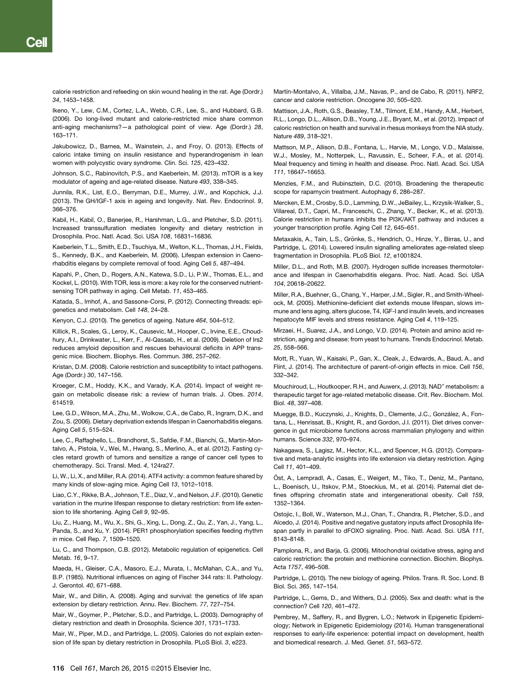calorie restriction and refeeding on skin wound healing in the rat. Age (Dordr.) *34*, 1453–1458.

<span id="page-10-1"></span>Ikeno, Y., Lew, C.M., Cortez, L.A., Webb, C.R., Lee, S., and Hubbard, G.B. (2006). Do long-lived mutant and calorie-restricted mice share common anti-aging mechanisms?—a pathological point of view. Age (Dordr.) *28*, 163–171.

<span id="page-10-10"></span>Jakubowicz, D., Barnea, M., Wainstein, J., and Froy, O. (2013). Effects of caloric intake timing on insulin resistance and hyperandrogenism in lean women with polycystic ovary syndrome. Clin. Sci. *125*, 423–432.

<span id="page-10-3"></span>Johnson, S.C., Rabinovitch, P.S., and Kaeberlein, M. (2013). mTOR is a key modulator of ageing and age-related disease. Nature *493*, 338–345.

<span id="page-10-14"></span>Junnila, R.K., List, E.O., Berryman, D.E., Murrey, J.W., and Kopchick, J.J. (2013). The GH/IGF-1 axis in ageing and longevity. Nat. Rev. Endocrinol. *9*, 366–376.

<span id="page-10-16"></span>Kabil, H., Kabil, O., Banerjee, R., Harshman, L.G., and Pletcher, S.D. (2011). Increased transsulfuration mediates longevity and dietary restriction in Drosophila. Proc. Natl. Acad. Sci. USA *108*, 16831–16836.

<span id="page-10-6"></span>Kaeberlein, T.L., Smith, E.D., Tsuchiya, M., Welton, K.L., Thomas, J.H., Fields, S., Kennedy, B.K., and Kaeberlein, M. (2006). Lifespan extension in Caenorhabditis elegans by complete removal of food. Aging Cell *5*, 487–494.

<span id="page-10-4"></span>Kapahi, P., Chen, D., Rogers, A.N., Katewa, S.D., Li, P.W., Thomas, E.L., and Kockel, L. (2010). With TOR, less is more: a key role for the conserved nutrientsensing TOR pathway in aging. Cell Metab. *11*, 453–465.

Katada, S., Imhof, A., and Sassone-Corsi, P. (2012). Connecting threads: epigenetics and metabolism. Cell *148*, 24–28.

Kenyon, C.J. (2010). The genetics of ageing. Nature *464*, 504–512.

Killick, R., Scales, G., Leroy, K., Causevic, M., Hooper, C., Irvine, E.E., Choudhury, A.I., Drinkwater, L., Kerr, F., Al-Qassab, H., et al. (2009). Deletion of Irs2 reduces amyloid deposition and rescues behavioural deficits in APP transgenic mice. Biochem. Biophys. Res. Commun. *386*, 257–262.

<span id="page-10-2"></span>Kristan, D.M. (2008). Calorie restriction and susceptibility to intact pathogens. Age (Dordr.) *30*, 147–156.

<span id="page-10-8"></span>Kroeger, C.M., Hoddy, K.K., and Varady, K.A. (2014). Impact of weight regain on metabolic disease risk: a review of human trials. J. Obes. *2014*, 614519.

Lee, G.D., Wilson, M.A., Zhu, M., Wolkow, C.A., de Cabo, R., Ingram, D.K., and Zou, S. (2006). Dietary deprivation extends lifespan in Caenorhabditis elegans. Aging Cell *5*, 515–524.

Lee, C., Raffaghello, L., Brandhorst, S., Safdie, F.M., Bianchi, G., Martin-Montalvo, A., Pistoia, V., Wei, M., Hwang, S., Merlino, A., et al. (2012). Fasting cycles retard growth of tumors and sensitize a range of cancer cell types to chemotherapy. Sci. Transl. Med. *4*, 124ra27.

<span id="page-10-24"></span><span id="page-10-15"></span>Li, W., Li, X., and Miller, R.A. (2014). ATF4 activity: a common feature shared by many kinds of slow-aging mice. Aging Cell *13*, 1012–1018.

Liao, C.Y., Rikke, B.A., Johnson, T.E., Diaz, V., and Nelson, J.F. (2010). Genetic variation in the murine lifespan response to dietary restriction: from life extension to life shortening. Aging Cell *9*, 92–95.

<span id="page-10-11"></span>Liu, Z., Huang, M., Wu, X., Shi, G., Xing, L., Dong, Z., Qu, Z., Yan, J., Yang, L., Panda, S., and Xu, Y. (2014). PER1 phosphorylation specifies feeding rhythm in mice. Cell Rep. *7*, 1509–1520.

<span id="page-10-12"></span>Lu, C., and Thompson, C.B. (2012). Metabolic regulation of epigenetics. Cell Metab. *16*, 9–17.

Maeda, H., Gleiser, C.A., Masoro, E.J., Murata, I., McMahan, C.A., and Yu, B.P. (1985). Nutritional influences on aging of Fischer 344 rats: II. Pathology. J. Gerontol. *40*, 671–688.

<span id="page-10-19"></span>Mair, W., and Dillin, A. (2008). Aging and survival: the genetics of life span extension by dietary restriction. Annu. Rev. Biochem. *77*, 727–754.

<span id="page-10-13"></span>Mair, W., Goymer, P., Pletcher, S.D., and Partridge, L. (2003). Demography of dietary restriction and death in Drosophila. Science *301*, 1731–1733.

Mair, W., Piper, M.D., and Partridge, L. (2005). Calories do not explain extension of life span by dietary restriction in Drosophila. PLoS Biol. *3*, e223.

Martín-Montalvo, A., Villalba, J.M., Navas, P., and de Cabo, R. (2011). NRF2, cancer and calorie restriction. Oncogene *30*, 505–520.

<span id="page-10-9"></span>Mattison, J.A., Roth, G.S., Beasley, T.M., Tilmont, E.M., Handy, A.M., Herbert, R.L., Longo, D.L., Allison, D.B., Young, J.E., Bryant, M., et al. (2012). Impact of caloric restriction on health and survival in rhesus monkeys from the NIA study. Nature *489*, 318–321.

<span id="page-10-7"></span>Mattson, M.P., Allison, D.B., Fontana, L., Harvie, M., Longo, V.D., Malaisse, W.J., Mosley, M., Notterpek, L., Ravussin, E., Scheer, F.A., et al. (2014). Meal frequency and timing in health and disease. Proc. Natl. Acad. Sci. USA *111*, 16647–16653.

Menzies, F.M., and Rubinsztein, D.C. (2010). Broadening the therapeutic scope for rapamycin treatment. Autophagy *6*, 286–287.

Mercken, E.M., Crosby, S.D., Lamming, D.W., JeBailey, L., Krzysik-Walker, S., Villareal, D.T., Capri, M., Franceschi, C., Zhang, Y., Becker, K., et al. (2013). Calorie restriction in humans inhibits the PI3K/AKT pathway and induces a younger transcription profile. Aging Cell *12*, 645–651.

<span id="page-10-0"></span>Metaxakis, A., Tain, L.S., Grönke, S., Hendrich, O., Hinze, Y., Birras, U., and Partridge, L. (2014). Lowered insulin signalling ameliorates age-related sleep fragmentation in Drosophila. PLoS Biol. *12*, e1001824.

<span id="page-10-17"></span>Miller, D.L., and Roth, M.B. (2007). Hydrogen sulfide increases thermotolerance and lifespan in Caenorhabditis elegans. Proc. Natl. Acad. Sci. USA *104*, 20618–20622.

Miller, R.A., Buehner, G., Chang, Y., Harper, J.M., Sigler, R., and Smith-Wheelock, M. (2005). Methionine-deficient diet extends mouse lifespan, slows immune and lens aging, alters glucose, T4, IGF-I and insulin levels, and increases hepatocyte MIF levels and stress resistance. Aging Cell *4*, 119–125.

Mirzaei, H., Suarez, J.A., and Longo, V.D. (2014). Protein and amino acid restriction, aging and disease: from yeast to humans. Trends Endocrinol. Metab. *25*, 558–566.

<span id="page-10-22"></span>Mott, R., Yuan, W., Kaisaki, P., Gan, X., Cleak, J., Edwards, A., Baud, A., and Flint, J. (2014). The architecture of parent-of-origin effects in mice. Cell *156*, 332–342.

<span id="page-10-5"></span>Mouchiroud, L., Houtkooper, R.H., and Auwerx, J. (2013). NAD<sup>+</sup> metabolism: a therapeutic target for age-related metabolic disease. Crit. Rev. Biochem. Mol. Biol. *48*, 397–408.

<span id="page-10-18"></span>Muegge, B.D., Kuczynski, J., Knights, D., Clemente, J.C., González, A., Fontana, L., Henrissat, B., Knight, R., and Gordon, J.I. (2011). Diet drives convergence in gut microbiome functions across mammalian phylogeny and within humans. Science *332*, 970–974.

<span id="page-10-23"></span><span id="page-10-20"></span>Nakagawa, S., Lagisz, M., Hector, K.L., and Spencer, H.G. (2012). Comparative and meta-analytic insights into life extension via dietary restriction. Aging Cell *11*, 401–409.

Öst, A., Lempradl, A., Casas, E., Weigert, M., Tiko, T., Deniz, M., Pantano, L., Boenisch, U., Itskov, P.M., Stoeckius, M., et al. (2014). Paternal diet defines offspring chromatin state and intergenerational obesity. Cell *159*, 1352–1364.

Ostojic, I., Boll, W., Waterson, M.J., Chan, T., Chandra, R., Pletcher, S.D., and Alcedo, J. (2014). Positive and negative gustatory inputs affect Drosophila lifespan partly in parallel to dFOXO signaling. Proc. Natl. Acad. Sci. USA *111*, 8143–8148.

Pamplona, R., and Barja, G. (2006). Mitochondrial oxidative stress, aging and caloric restriction: the protein and methionine connection. Biochim. Biophys. Acta *1757*, 496–508.

<span id="page-10-25"></span>Partridge, L. (2010). The new biology of ageing. Philos. Trans. R. Soc. Lond. B Biol. Sci. *365*, 147–154.

<span id="page-10-21"></span>Partridge, L., Gems, D., and Withers, D.J. (2005). Sex and death: what is the connection? Cell *120*, 461–472.

Pembrey, M., Saffery, R., and Bygren, L.O.; Network in Epigenetic Epidemiology; Network in Epigenetic Epidemiology (2014). Human transgenerational responses to early-life experience: potential impact on development, health and biomedical research. J. Med. Genet. *51*, 563–572.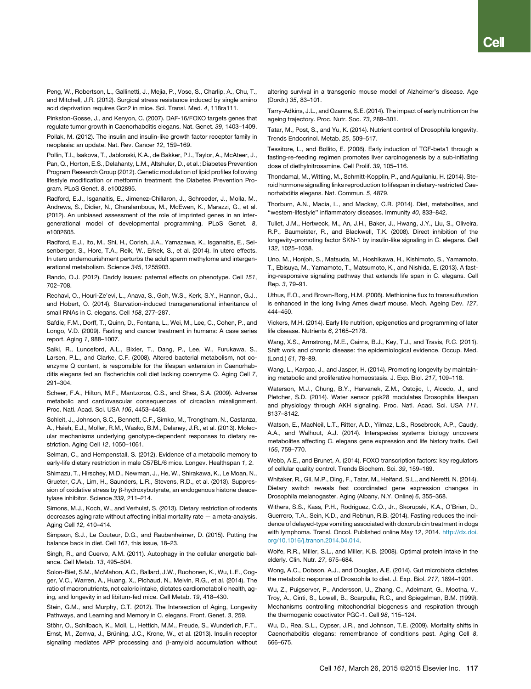<span id="page-11-15"></span>Peng, W., Robertson, L., Gallinetti, J., Mejia, P., Vose, S., Charlip, A., Chu, T., and Mitchell, J.R. (2012). Surgical stress resistance induced by single amino acid deprivation requires Gcn2 in mice. Sci. Transl. Med. *4*, 118ra111.

Pinkston-Gosse, J., and Kenyon, C. (2007). DAF-16/FOXO targets genes that regulate tumor growth in Caenorhabditis elegans. Nat. Genet. *39*, 1403–1409.

<span id="page-11-14"></span>Pollak, M. (2012). The insulin and insulin-like growth factor receptor family in neoplasia: an update. Nat. Rev. Cancer *12*, 159–169.

<span id="page-11-29"></span>Pollin, T.I., Isakova, T., Jablonski, K.A., de Bakker, P.I., Taylor, A., McAteer, J., Pan, Q., Horton, E.S., Delahanty, L.M., Altshuler, D., et al.; Diabetes Prevention Program Research Group (2012). Genetic modulation of lipid profiles following lifestyle modification or metformin treatment: the Diabetes Prevention Program. PLoS Genet. *8*, e1002895.

Radford, E.J., Isganaitis, E., Jimenez-Chillaron, J., Schroeder, J., Molla, M., Andrews, S., Didier, N., Charalambous, M., McEwen, K., Marazzi, G., et al. (2012). An unbiased assessment of the role of imprinted genes in an intergenerational model of developmental programming. PLoS Genet. *8*, e1002605.

<span id="page-11-26"></span>Radford, E.J., Ito, M., Shi, H., Corish, J.A., Yamazawa, K., Isganaitis, E., Seisenberger, S., Hore, T.A., Reik, W., Erkek, S., et al. (2014). In utero effects. In utero undernourishment perturbs the adult sperm methylome and intergenerational metabolism. Science *345*, 1255903.

<span id="page-11-25"></span>Rando, O.J. (2012). Daddy issues: paternal effects on phenotype. Cell *151*, 702–708.

<span id="page-11-27"></span>Rechavi, O., Houri-Ze'evi, L., Anava, S., Goh, W.S., Kerk, S.Y., Hannon, G.J., and Hobert, O. (2014). Starvation-induced transgenerational inheritance of small RNAs in C. elegans. Cell *158*, 277–287.

<span id="page-11-8"></span>Safdie, F.M., Dorff, T., Quinn, D., Fontana, L., Wei, M., Lee, C., Cohen, P., and Longo, V.D. (2009). Fasting and cancer treatment in humans: A case series report. Aging *1*, 988–1007.

<span id="page-11-18"></span>Saiki, R., Lunceford, A.L., Bixler, T., Dang, P., Lee, W., Furukawa, S., Larsen, P.L., and Clarke, C.F. (2008). Altered bacterial metabolism, not coenzyme Q content, is responsible for the lifespan extension in Caenorhabditis elegans fed an Escherichia coli diet lacking coenzyme Q. Aging Cell *7*, 291–304.

<span id="page-11-9"></span>Scheer, F.A., Hilton, M.F., Mantzoros, C.S., and Shea, S.A. (2009). Adverse metabolic and cardiovascular consequences of circadian misalignment. Proc. Natl. Acad. Sci. USA *106*, 4453–4458.

<span id="page-11-28"></span>Schleit, J., Johnson, S.C., Bennett, C.F., Simko, M., Trongtham, N., Castanza, A., Hsieh, E.J., Moller, R.M., Wasko, B.M., Delaney, J.R., et al. (2013). Molecular mechanisms underlying genotype-dependent responses to dietary restriction. Aging Cell *12*, 1050–1061.

Selman, C., and Hempenstall, S. (2012). Evidence of a metabolic memory to early-life dietary restriction in male C57BL/6 mice. Longev. Healthspan *1*, 2.

<span id="page-11-7"></span>Shimazu, T., Hirschey, M.D., Newman, J., He, W., Shirakawa, K., Le Moan, N., Grueter, C.A., Lim, H., Saunders, L.R., Stevens, R.D., et al. (2013). Suppression of oxidative stress by  $\beta$ -hydroxybutyrate, an endogenous histone deacetylase inhibitor. Science *339*, 211–214.

<span id="page-11-23"></span>Simons, M.J., Koch, W., and Verhulst, S. (2013). Dietary restriction of rodents decreases aging rate without affecting initial mortality rate — a meta-analysis. Aging Cell *12*, 410–414.

<span id="page-11-12"></span>Simpson, S.J., Le Couteur, D.G., and Raubenheimer, D. (2015). Putting the balance back in diet. Cell *161*, this issue, 18–23.

<span id="page-11-1"></span>Singh, R., and Cuervo, A.M. (2011). Autophagy in the cellular energetic balance. Cell Metab. *13*, 495–504.

<span id="page-11-11"></span>Solon-Biet, S.M., McMahon, A.C., Ballard, J.W., Ruohonen, K., Wu, L.E., Cogger, V.C., Warren, A., Huang, X., Pichaud, N., Melvin, R.G., et al. (2014). The ratio of macronutrients, not caloric intake, dictates cardiometabolic health, aging, and longevity in ad libitum-fed mice. Cell Metab. *19*, 418–430.

Stein, G.M., and Murphy, C.T. (2012). The Intersection of Aging, Longevity Pathways, and Learning and Memory in C. elegans. Front. Genet. *3*, 259.

Stöhr, O., Schilbach, K., Moll, L., Hettich, M.M., Freude, S., Wunderlich, F.T., Ernst, M., Zemva, J., Brüning, J.C., Krone, W., et al. (2013). Insulin receptor signaling mediates APP processing and  $\beta$ -amyloid accumulation without altering survival in a transgenic mouse model of Alzheimer's disease. Age (Dordr.) *35*, 83–101.

<span id="page-11-24"></span>Tarry-Adkins, J.L., and Ozanne, S.E. (2014). The impact of early nutrition on the ageing trajectory. Proc. Nutr. Soc. *73*, 289–301.

Tatar, M., Post, S., and Yu, K. (2014). Nutrient control of Drosophila longevity. Trends Endocrinol. Metab. *25*, 509–517.

<span id="page-11-6"></span>Tessitore, L., and Bollito, E. (2006). Early induction of TGF-beta1 through a fasting-re-feeding regimen promotes liver carcinogenesis by a sub-initiating dose of diethylnitrosamine. Cell Prolif. *39*, 105–116.

<span id="page-11-0"></span>Thondamal, M., Witting, M., Schmitt-Kopplin, P., and Aguilaniu, H. (2014). Steroid hormone signalling links reproduction to lifespan in dietary-restricted Caenorhabditis elegans. Nat. Commun. *5*, 4879.

<span id="page-11-17"></span>Thorburn, A.N., Macia, L., and Mackay, C.R. (2014). Diet, metabolites, and ''western-lifestyle'' inflammatory diseases. Immunity *40*, 833–842.

<span id="page-11-2"></span>Tullet, J.M., Hertweck, M., An, J.H., Baker, J., Hwang, J.Y., Liu, S., Oliveira, R.P., Baumeister, R., and Blackwell, T.K. (2008). Direct inhibition of the longevity-promoting factor SKN-1 by insulin-like signaling in C. elegans. Cell *132*, 1025–1038.

<span id="page-11-5"></span>Uno, M., Honjoh, S., Matsuda, M., Hoshikawa, H., Kishimoto, S., Yamamoto, T., Ebisuya, M., Yamamoto, T., Matsumoto, K., and Nishida, E. (2013). A fasting-responsive signaling pathway that extends life span in C. elegans. Cell Rep. *3*, 79–91.

<span id="page-11-16"></span>Uthus, E.O., and Brown-Borg, H.M. (2006). Methionine flux to transsulfuration is enhanced in the long living Ames dwarf mouse. Mech. Ageing Dev. *127*, 444–450.

Vickers, M.H. (2014). Early life nutrition, epigenetics and programming of later life disease. Nutrients *6*, 2165–2178.

<span id="page-11-10"></span>Wang, X.S., Armstrong, M.E., Cairns, B.J., Key, T.J., and Travis, R.C. (2011). Shift work and chronic disease: the epidemiological evidence. Occup. Med. (Lond.) *61*, 78–89.

Wang, L., Karpac, J., and Jasper, H. (2014). Promoting longevity by maintaining metabolic and proliferative homeostasis. J. Exp. Biol. *217*, 109–118.

Waterson, M.J., Chung, B.Y., Harvanek, Z.M., Ostojic, I., Alcedo, J., and Pletcher, S.D. (2014). Water sensor ppk28 modulates Drosophila lifespan and physiology through AKH signaling. Proc. Natl. Acad. Sci. USA *111*, 8137–8142.

<span id="page-11-19"></span>Watson, E., MacNeil, L.T., Ritter, A.D., Yilmaz, L.S., Rosebrock, A.P., Caudy, A.A., and Walhout, A.J. (2014). Interspecies systems biology uncovers metabolites affecting C. elegans gene expression and life history traits. Cell *156*, 759–770.

<span id="page-11-21"></span><span id="page-11-3"></span>Webb, A.E., and Brunet, A. (2014). FOXO transcription factors: key regulators of cellular quality control. Trends Biochem. Sci. *39*, 159–169.

Whitaker, R., Gil, M.P., Ding, F., Tatar, M., Helfand, S.L., and Neretti, N. (2014). Dietary switch reveals fast coordinated gene expression changes in Drosophila melanogaster. Aging (Albany, N.Y. Online) *6*, 355–368.

Withers, S.S., Kass, P.H., Rodriguez, C.O., Jr., Skorupski, K.A., O'Brien, D., Guerrero, T.A., Sein, K.D., and Rebhun, R.B. (2014). Fasting reduces the incidence of delayed-type vomiting associated with doxorubicin treatment in dogs with lymphoma. Transl. Oncol. Published online May 12, 2014. [http://dx.doi.](http://dx.doi.org/10.1016/j.tranon.2014.04.014) [org/10.1016/j.tranon.2014.04.014](http://dx.doi.org/10.1016/j.tranon.2014.04.014).

<span id="page-11-20"></span><span id="page-11-13"></span>Wolfe, R.R., Miller, S.L., and Miller, K.B. (2008). Optimal protein intake in the elderly. Clin. Nutr. *27*, 675–684.

<span id="page-11-4"></span>Wong, A.C., Dobson, A.J., and Douglas, A.E. (2014). Gut microbiota dictates the metabolic response of Drosophila to diet. J. Exp. Biol. *217*, 1894–1901.

Wu, Z., Puigserver, P., Andersson, U., Zhang, C., Adelmant, G., Mootha, V., Troy, A., Cinti, S., Lowell, B., Scarpulla, R.C., and Spiegelman, B.M. (1999). Mechanisms controlling mitochondrial biogenesis and respiration through the thermogenic coactivator PGC-1. Cell *98*, 115–124.

<span id="page-11-22"></span>Wu, D., Rea, S.L., Cypser, J.R., and Johnson, T.E. (2009). Mortality shifts in Caenorhabditis elegans: remembrance of conditions past. Aging Cell *8*, 666–675.